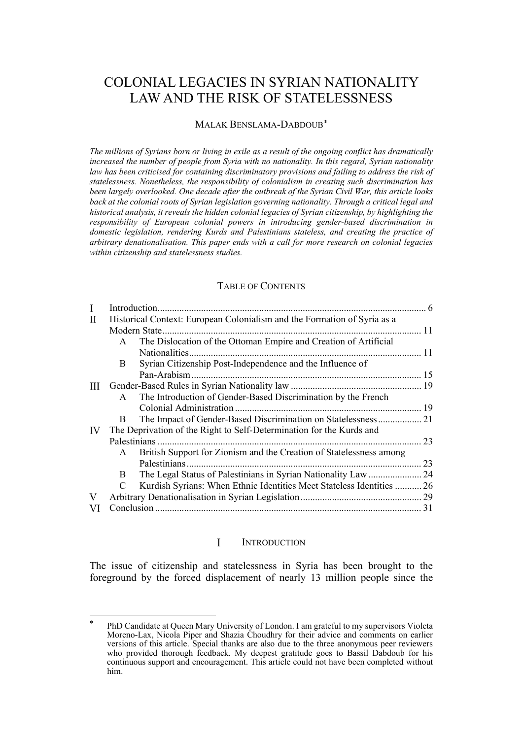# COLONIAL LEGACIES IN SYRIAN NATIONALITY LAW AND THE RISK OF STATELESSNESS

### MALAK BENSLAMA-DABDOUB[\\*](#page-0-1)

*The millions of Syrians born or living in exile as a result of the ongoing conflict has dramatically increased the number of people from Syria with no nationality. In this regard, Syrian nationality law has been criticised for containing discriminatory provisions and failing to address the risk of statelessness. Nonetheless, the responsibility of colonialism in creating such discrimination has been largely overlooked. One decade after the outbreak of the Syrian Civil War, this article looks back at the colonial roots of Syrian legislation governing nationality. Through a critical legal and historical analysis, it reveals the hidden colonial legacies of Syrian citizenship, by highlighting the responsibility of European colonial powers in introducing gender-based discrimination in domestic legislation, rendering Kurds and Palestinians stateless, and creating the practice of arbitrary denationalisation. This paper ends with a call for more research on colonial legacies within citizenship and statelessness studies.* 

#### TABLE OF CONTENTS

| Н  | Historical Context: European Colonialism and the Formation of Syria as a |                                                                       |    |
|----|--------------------------------------------------------------------------|-----------------------------------------------------------------------|----|
|    |                                                                          |                                                                       |    |
|    | $\mathsf{A}$                                                             | The Dislocation of the Ottoman Empire and Creation of Artificial      |    |
|    |                                                                          | Nationalities.                                                        |    |
|    | B                                                                        | Syrian Citizenship Post-Independence and the Influence of             |    |
|    |                                                                          | Pan-Arabism                                                           |    |
| Ш  |                                                                          |                                                                       |    |
|    | $\mathsf{A}$                                                             | The Introduction of Gender-Based Discrimination by the French         |    |
|    |                                                                          |                                                                       |    |
|    | B.                                                                       | The Impact of Gender-Based Discrimination on Statelessness 21         |    |
| IV | The Deprivation of the Right to Self-Determination for the Kurds and     |                                                                       |    |
|    |                                                                          |                                                                       | 23 |
|    | A                                                                        | British Support for Zionism and the Creation of Statelessness among   |    |
|    |                                                                          |                                                                       | 23 |
|    | B.                                                                       | The Legal Status of Palestinians in Syrian Nationality Law  24        |    |
|    | $\mathcal{C}$                                                            | Kurdish Syrians: When Ethnic Identities Meet Stateless Identities  26 |    |
| V  |                                                                          |                                                                       |    |
| VI |                                                                          |                                                                       | 31 |
|    |                                                                          |                                                                       |    |

#### $\mathbf{I}$ **INTRODUCTION**

<span id="page-0-0"></span>The issue of citizenship and statelessness in Syria has been brought to the foreground by the forced displacement of nearly 13 million people since the

<span id="page-0-1"></span><sup>\*</sup> PhD Candidate at Queen Mary University of London. I am grateful to my supervisors Violeta Moreno-Lax, Nicola Piper and Shazia Choudhry for their advice and comments on earlier versions of this article. Special thanks are also due to the three anonymous peer reviewers who provided thorough feedback. My deepest gratitude goes to Bassil Dabdoub for his continuous support and encouragement. This article could not have been completed without him.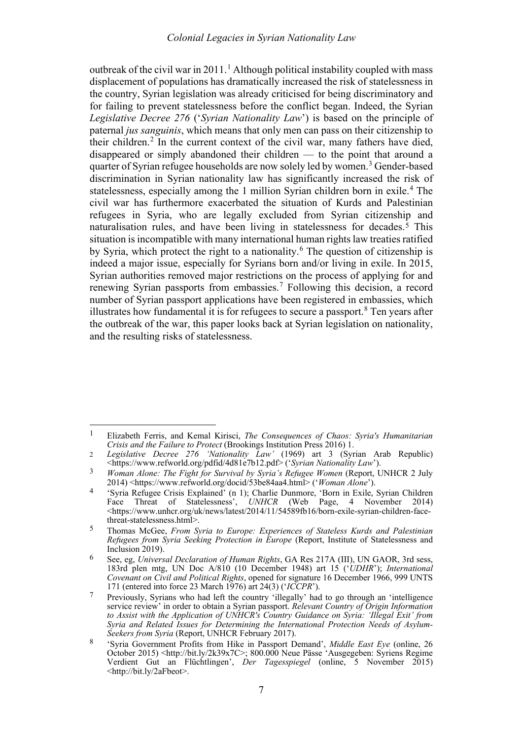<span id="page-1-12"></span><span id="page-1-11"></span><span id="page-1-10"></span><span id="page-1-9"></span><span id="page-1-0"></span>outbreak of the civil war in 20[1](#page-1-1)1.<sup>1</sup> Although political instability coupled with mass displacement of populations has dramatically increased the risk of statelessness in the country, Syrian legislation was already criticised for being discriminatory and for failing to prevent statelessness before the conflict began. Indeed, the Syrian *Legislative Decree 276* ('*Syrian Nationality Law*') is based on the principle of paternal *jus sanguinis*, which means that only men can pass on their citizenship to their children.<sup>[2](#page-1-2)</sup> In the current context of the civil war, many fathers have died, disappeared or simply abandoned their children — to the point that around a quarter of Syrian refugee households are now solely led by women.<sup>[3](#page-1-3)</sup> Gender-based discrimination in Syrian nationality law has significantly increased the risk of statelessness, especially among the 1 million Syrian children born in exile.<sup>[4](#page-1-4)</sup> The civil war has furthermore exacerbated the situation of Kurds and Palestinian refugees in Syria, who are legally excluded from Syrian citizenship and naturalisation rules, and have been living in statelessness for decades.[5](#page-1-5) This situation is incompatible with many international human rights law treaties ratified by Syria, which protect the right to a nationality.<sup>[6](#page-1-6)</sup> The question of citizenship is indeed a major issue, especially for Syrians born and/or living in exile. In 2015, Syrian authorities removed major restrictions on the process of applying for and renewing Syrian passports from embassies.[7](#page-1-7) Following this decision, a record number of Syrian passport applications have been registered in embassies, which illustrates how fundamental it is for refugees to secure a passport. $8$  Ten years after the outbreak of the war, this paper looks back at Syrian legislation on nationality, and the resulting risks of statelessness.

<span id="page-1-1"></span><sup>1</sup> Elizabeth Ferris, and Kemal Kirisci, *The Consequences of Chaos: Syria's Humanitarian Crisis and the Failure to Protect* (Brookings Institution Press 2016) 1.

<span id="page-1-2"></span><sup>2</sup> *Legislative Decree 276 'Nationality Law'* (1969) art 3 (Syrian Arab Republic) <https://www.refworld.org/pdfid/4d81e7b12.pdf> ('*Syrian Nationality Law*').

<span id="page-1-3"></span><sup>3</sup> *Woman Alone: The Fight for Survival by Syria's Refugee Women* (Report, UNHCR 2 July 2014) <https://www.refworld.org/docid/53be84aa4.html> ('*Woman Alone*').

<span id="page-1-4"></span><sup>4</sup> 'Syria Refugee Crisis Explained' (n [1\)](#page-1-0); Charlie Dunmore, 'Born in Exile, Syrian Children Face Threat of Statelessness', *UNHCR* (Web Page, 4 November 2014) <https://www.unhcr.org/uk/news/latest/2014/11/54589fb16/born-exile-syrian-children-facethreat-statelessness.html>.

<span id="page-1-5"></span><sup>5</sup> Thomas McGee, *From Syria to Europe: Experiences of Stateless Kurds and Palestinian Refugees from Syria Seeking Protection in Europe* (Report, Institute of Statelessness and Inclusion 2019).

<span id="page-1-6"></span><sup>6</sup> See, eg, *Universal Declaration of Human Rights*, GA Res 217A (III), UN GAOR, 3rd sess, 183rd plen mtg, UN Doc A/810 (10 December 1948) art 15 ('*UDHR*'); *International Covenant on Civil and Political Rights*, opened for signature 16 December 1966, 999 UNTS 171 (entered into force 23 March 1976) art 24(3) ('*ICCPR*').

<span id="page-1-7"></span><sup>7</sup> Previously, Syrians who had left the country 'illegally' had to go through an 'intelligence service review' in order to obtain a Syrian passport. *Relevant Country of Origin Information to Assist with the Application of UNHCR's Country Guidance on Syria: 'Illegal Exit' from Syria and Related Issues for Determining the International Protection Needs of Asylum-Seekers from Syria* (Report, UNHCR February 2017).

<span id="page-1-8"></span><sup>8</sup> 'Syria Government Profits from Hike in Passport Demand', *Middle East Eye* (online, 26 October 2015) <http://bit.ly/2k39x7C>; 800.000 Neue Pässe 'Ausgegeben: Syriens Regime Verdient Gut an Flüchtlingen', *Der Tagesspiegel* (online, 5 November 2015) <http://bit.ly/2aFbeot>.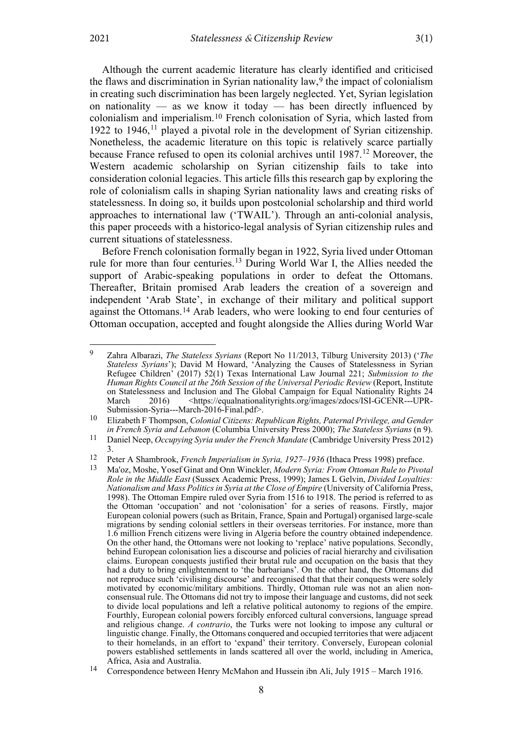<span id="page-2-9"></span><span id="page-2-8"></span><span id="page-2-7"></span><span id="page-2-0"></span>Although the current academic literature has clearly identified and criticised the flaws and discrimination in Syrian nationality law, $9$  the impact of colonialism in creating such discrimination has been largely neglected. Yet, Syrian legislation on nationality — as we know it today — has been directly influenced by colonialism and imperialism[.10](#page-2-2) French colonisation of Syria, which lasted from 1922 to 1946,<sup> $11$ </sup> played a pivotal role in the development of Syrian citizenship. Nonetheless, the academic literature on this topic is relatively scarce partially because France refused to open its colonial archives until  $1987<sup>12</sup>$  $1987<sup>12</sup>$  $1987<sup>12</sup>$  Moreover, the Western academic scholarship on Syrian citizenship fails to take into consideration colonial legacies. This article fills this research gap by exploring the role of colonialism calls in shaping Syrian nationality laws and creating risks of statelessness. In doing so, it builds upon postcolonial scholarship and third world approaches to international law ('TWAIL'). Through an anti-colonial analysis, this paper proceeds with a historico-legal analysis of Syrian citizenship rules and current situations of statelessness.

Before French colonisation formally began in 1922, Syria lived under Ottoman rule for more than four centuries.[13](#page-2-5) During World War I, the Allies needed the support of Arabic-speaking populations in order to defeat the Ottomans. Thereafter, Britain promised Arab leaders the creation of a sovereign and independent 'Arab State', in exchange of their military and political support against the Ottomans.[14](#page-2-6) Arab leaders, who were looking to end four centuries of Ottoman occupation, accepted and fought alongside the Allies during World War

<span id="page-2-1"></span><sup>9</sup> Zahra Albarazi, *The Stateless Syrians* (Report No 11/2013, Tilburg University 2013) ('*The Stateless Syrians*'); David M Howard, 'Analyzing the Causes of Statelessness in Syrian Refugee Children' (2017) 52(1) Texas International Law Journal 221; *Submission to the Human Rights Council at the 26th Session of the Universal Periodic Review* (Report, Institute on Statelessness and Inclusion and The Global Campaign for Equal Nationality Rights 24 March 2016) <https://equalnationalityrights.org/images/zdocs/ISI-GCENR---UPR-Submission-Syria---March-2016-Final.pdf>.

<span id="page-2-2"></span><sup>10</sup> Elizabeth F Thompson, *Colonial Citizens: Republican Rights, Paternal Privilege, and Gender in French Syria and Lebanon* (Columbia University Press 2000); *The Stateless Syrians* (n [9\)](#page-2-0).

<span id="page-2-3"></span><sup>11</sup> Daniel Neep, *Occupying Syria under the French Mandate* (Cambridge University Press 2012) 3.

<span id="page-2-5"></span><span id="page-2-4"></span><sup>12</sup> Peter A Shambrook, *French Imperialism in Syria, 1927–1936* (Ithaca Press 1998) preface.

<sup>13</sup> Ma'oz, Moshe, Yosef Ginat and Onn Winckler, *Modern Syria: From Ottoman Rule to Pivotal Role in the Middle East* (Sussex Academic Press, 1999); James L Gelvin, *Divided Loyalties: Nationalism and Mass Politics in Syria at the Close of Empire* (University of California Press, 1998). The Ottoman Empire ruled over Syria from 1516 to 1918. The period is referred to as the Ottoman 'occupation' and not 'colonisation' for a series of reasons. Firstly, major European colonial powers (such as Britain, France, Spain and Portugal) organised large-scale migrations by sending colonial settlers in their overseas territories. For instance, more than 1.6 million French citizens were living in Algeria before the country obtained independence. On the other hand, the Ottomans were not looking to 'replace' native populations. Secondly, behind European colonisation lies a discourse and policies of racial hierarchy and civilisation claims. European conquests justified their brutal rule and occupation on the basis that they had a duty to bring enlightenment to 'the barbarians'. On the other hand, the Ottomans did not reproduce such 'civilising discourse' and recognised that that their conquests were solely motivated by economic/military ambitions. Thirdly, Ottoman rule was not an alien nonconsensual rule. The Ottomans did not try to impose their language and customs, did not seek to divide local populations and left a relative political autonomy to regions of the empire. Fourthly, European colonial powers forcibly enforced cultural conversions, language spread and religious change. *A contrario*, the Turks were not looking to impose any cultural or linguistic change. Finally, the Ottomans conquered and occupied territories that were adjacent to their homelands, in an effort to 'expand' their territory. Conversely, European colonial powers established settlements in lands scattered all over the world, including in America, Africa, Asia and Australia.

<span id="page-2-6"></span><sup>14</sup> Correspondence between Henry McMahon and Hussein ibn Ali, July 1915 – March 1916.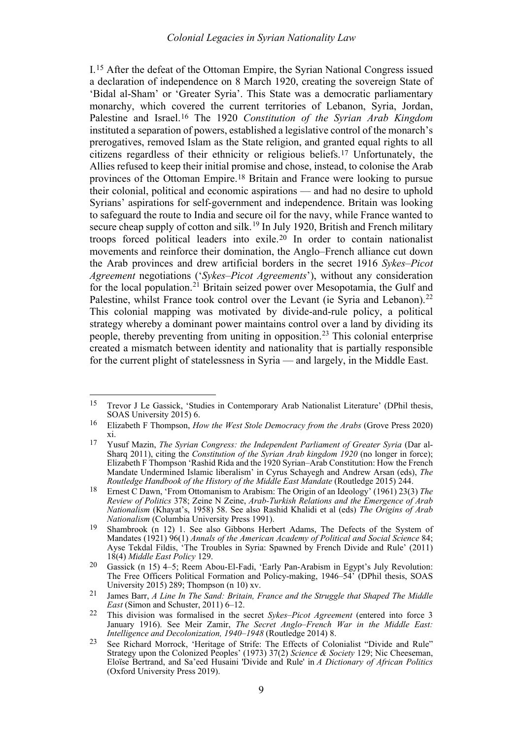<span id="page-3-10"></span><span id="page-3-0"></span>I.[15](#page-3-1) After the defeat of the Ottoman Empire, the Syrian National Congress issued a declaration of independence on 8 March 1920, creating the sovereign State of 'Bidal al-Sham' or 'Greater Syria'. This State was a democratic parliamentary monarchy, which covered the current territories of Lebanon, Syria, Jordan, Palestine and Israel.[16](#page-3-2) The 1920 *Constitution of the Syrian Arab Kingdom* instituted a separation of powers, established a legislative control of the monarch's prerogatives, removed Islam as the State religion, and granted equal rights to all citizens regardless of their ethnicity or religious beliefs.[17](#page-3-3) Unfortunately, the Allies refused to keep their initial promise and chose, instead, to colonise the Arab provinces of the Ottoman Empire.[18](#page-3-4) Britain and France were looking to pursue their colonial, political and economic aspirations — and had no desire to uphold Syrians' aspirations for self-government and independence. Britain was looking to safeguard the route to India and secure oil for the navy, while France wanted to secure cheap supply of cotton and silk.<sup>[19](#page-3-5)</sup> In July 1920, British and French military troops forced political leaders into exile.[20](#page-3-6) In order to contain nationalist movements and reinforce their domination, the Anglo–French alliance cut down the Arab provinces and drew artificial borders in the secret 1916 *Sykes–Picot Agreement* negotiations ('*Sykes–Picot Agreements*'), without any consideration for the local population.<sup>[21](#page-3-7)</sup> Britain seized power over Mesopotamia, the Gulf and Palestine, whilst France took control over the Levant (ie Syria and Lebanon).<sup>[22](#page-3-8)</sup> This colonial mapping was motivated by divide-and-rule policy, a political strategy whereby a dominant power maintains control over a land by dividing its people, thereby preventing from uniting in opposition.[23](#page-3-9) This colonial enterprise created a mismatch between identity and nationality that is partially responsible for the current plight of statelessness in Syria — and largely, in the Middle East.

<span id="page-3-12"></span><span id="page-3-11"></span><span id="page-3-1"></span><sup>15</sup> Trevor J Le Gassick, 'Studies in Contemporary Arab Nationalist Literature' (DPhil thesis, SOAS University 2015) 6.

<span id="page-3-2"></span><sup>16</sup> Elizabeth F Thompson, *How the West Stole Democracy from the Arabs* (Grove Press 2020) xi.

<span id="page-3-3"></span><sup>17</sup> Yusuf Mazin, *The Syrian Congress: the Independent Parliament of Greater Syria* (Dar al-Sharq 2011), citing the *Constitution of the Syrian Arab kingdom 1920* (no longer in force); Elizabeth F Thompson 'Rashid Rida and the 1920 Syrian–Arab Constitution: How the French Mandate Undermined Islamic liberalism' in Cyrus Schayegh and Andrew Arsan (eds), *The Routledge Handbook of the History of the Middle East Mandate* (Routledge 2015) 244.

<span id="page-3-4"></span><sup>18</sup> Ernest C Dawn, 'From Ottomanism to Arabism: The Origin of an Ideology' (1961) 23(3) *The Review of Politics* 378; Zeine N Zeine, *Arab-Turkish Relations and the Emergence of Arab Nationalism* (Khayat's, 1958) 58. See also Rashid Khalidi et al (eds) *The Origins of Arab Nationalism* (Columbia University Press 1991).

<span id="page-3-5"></span><sup>19</sup> Shambrook (n [12\)](#page-2-7) 1. See also Gibbons Herbert Adams, The Defects of the System of Mandates (1921) 96(1) *Annals of the American Academy of Political and Social Science* 84; Ayse Tekdal Fildis, 'The Troubles in Syria: Spawned by French Divide and Rule' (2011) 18(4) *Middle East Policy* 129.

<span id="page-3-6"></span><sup>20</sup> Gassick (n [15\)](#page-3-0) 4–5; Reem Abou‐El‐Fadi, 'Early Pan‐Arabism in Egypt's July Revolution: The Free Officers Political Formation and Policy-making, 1946–54' (DPhil thesis, SOAS University 2015) 289; Thompson (n [10\)](#page-2-8) xv.

<span id="page-3-7"></span><sup>21</sup> James Barr, *A Line In The Sand: Britain, France and the Struggle that Shaped The Middle East* (Simon and Schuster, 2011) 6–12.

<span id="page-3-8"></span><sup>22</sup> This division was formalised in the secret *Sykes–Picot Agreement* (entered into force 3 January 1916). See Meir Zamir, *The Secret Anglo–French War in the Middle East: Intelligence and Decolonization, 1940–1948* (Routledge 2014) 8.

<span id="page-3-9"></span><sup>23</sup> See Richard Morrock, 'Heritage of Strife: The Effects of Colonialist "Divide and Rule" Strategy upon the Colonized Peoples' (1973) 37(2) *Science & Society* 129; Nic Cheeseman, Eloïse Bertrand, and Sa'eed Husaini 'Divide and Rule' in *A Dictionary of African Politics* (Oxford University Press 2019).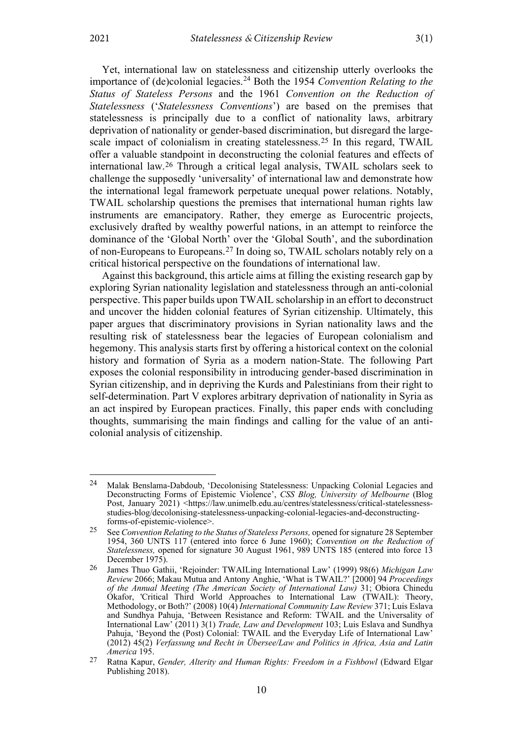Yet, international law on statelessness and citizenship utterly overlooks the importance of (de)colonial legacies.<sup>[24](#page-4-0)</sup> Both the 1954 *Convention Relating to the Status of Stateless Persons* and the 1961 *Convention on the Reduction of Statelessness* ('*Statelessness Conventions*') are based on the premises that statelessness is principally due to a conflict of nationality laws, arbitrary deprivation of nationality or gender-based discrimination, but disregard the largescale impact of colonialism in creating statelessness.[25](#page-4-1) In this regard, TWAIL offer a valuable standpoint in deconstructing the colonial features and effects of international law.[26](#page-4-2) Through a critical legal analysis, TWAIL scholars seek to challenge the supposedly 'universality' of international law and demonstrate how the international legal framework perpetuate unequal power relations. Notably, TWAIL scholarship questions the premises that international human rights law instruments are emancipatory. Rather, they emerge as Eurocentric projects, exclusively drafted by wealthy powerful nations, in an attempt to reinforce the dominance of the 'Global North' over the 'Global South', and the subordination of non-Europeans to Europeans.[27](#page-4-3) In doing so, TWAIL scholars notably rely on a critical historical perspective on the foundations of international law.

Against this background, this article aims at filling the existing research gap by exploring Syrian nationality legislation and statelessness through an anti-colonial perspective. This paper builds upon TWAIL scholarship in an effort to deconstruct and uncover the hidden colonial features of Syrian citizenship. Ultimately, this paper argues that discriminatory provisions in Syrian nationality laws and the resulting risk of statelessness bear the legacies of European colonialism and hegemony. This analysis starts first by offering a historical context on the colonial history and formation of Syria as a modern nation-State. The following Part exposes the colonial responsibility in introducing gender-based discrimination in Syrian citizenship, and in depriving the Kurds and Palestinians from their right to self-determination. Part V explores arbitrary deprivation of nationality in Syria as an act inspired by European practices. Finally, this paper ends with concluding thoughts, summarising the main findings and calling for the value of an anticolonial analysis of citizenship.

<span id="page-4-0"></span><sup>24</sup> Malak Benslama-Dabdoub, 'Decolonising Statelessness: Unpacking Colonial Legacies and Deconstructing Forms of Epistemic Violence', *CSS Blog, University of Melbourne* (Blog Post, January 2021) <https://law.unimelb.edu.au/centres/statelessness/critical-statelessnessstudies-blog/decolonising-statelessness-unpacking-colonial-legacies-and-deconstructingforms-of-epistemic-violence>.

<span id="page-4-1"></span><sup>25</sup> See *Convention Relating to the Status of Stateless Persons,* opened for signature 28 September 1954, 360 UNTS 117 (entered into force 6 June 1960); *Convention on the Reduction of Statelessness,* opened for signature 30 August 1961, 989 UNTS 185 (entered into force 13 December 1975).

<span id="page-4-2"></span><sup>26</sup> James Thuo Gathii, 'Rejoinder: TWAILing International Law' (1999) 98(6) *Michigan Law Review* 2066; Makau Mutua and Antony Anghie, 'What is TWAIL?' [2000] 94 *Proceedings of the Annual Meeting (The American Society of International Law)* 31; Obiora Chinedu Okafor, 'Critical Third World Approaches to International Law (TWAIL): Theory, Methodology, or Both?' (2008) 10(4) *International Community Law Review* 371; Luis Eslava and Sundhya Pahuja, 'Between Resistance and Reform: TWAIL and the Universality of International Law' (2011) 3(1) *Trade, Law and Development* 103; Luis Eslava and Sundhya Pahuja, 'Beyond the (Post) Colonial: TWAIL and the Everyday Life of International Law' (2012) 45(2) *Verfassung und Recht in Übersee/Law and Politics in Africa, Asia and Latin America* 195.

<span id="page-4-3"></span><sup>27</sup> Ratna Kapur, *Gender, Alterity and Human Rights: Freedom in a Fishbowl* (Edward Elgar Publishing 2018).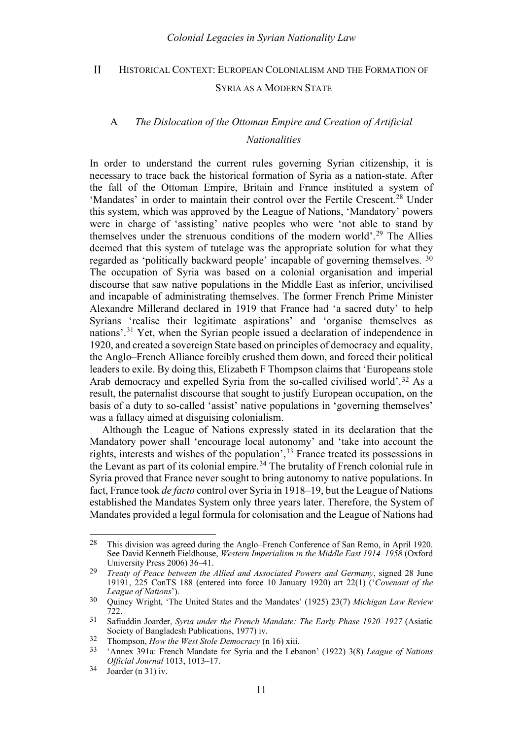#### <span id="page-5-0"></span> $\mathbf{H}$ HISTORICAL CONTEXT: EUROPEAN COLONIALISM AND THE FORMATION OF

#### SYRIA AS A MODERN STATE

# <span id="page-5-1"></span>A *The Dislocation of the Ottoman Empire and Creation of Artificial*

## *Nationalities*

In order to understand the current rules governing Syrian citizenship, it is necessary to trace back the historical formation of Syria as a nation-state. After the fall of the Ottoman Empire, Britain and France instituted a system of 'Mandates' in order to maintain their control over the Fertile Crescent.<sup>[28](#page-5-3)</sup> Under this system, which was approved by the League of Nations, 'Mandatory' powers were in charge of 'assisting' native peoples who were 'not able to stand by themselves under the strenuous conditions of the modern world'.[29](#page-5-4) The Allies deemed that this system of tutelage was the appropriate solution for what they regarded as 'politically backward people' incapable of governing themselves. [30](#page-5-5) The occupation of Syria was based on a colonial organisation and imperial discourse that saw native populations in the Middle East as inferior, uncivilised and incapable of administrating themselves. The former French Prime Minister Alexandre Millerand declared in 1919 that France had 'a sacred duty' to help Syrians 'realise their legitimate aspirations' and 'organise themselves as nations'.[31](#page-5-6) Yet, when the Syrian people issued a declaration of independence in 1920, and created a sovereign State based on principles of democracy and equality, the Anglo–French Alliance forcibly crushed them down, and forced their political leaders to exile. By doing this, Elizabeth F Thompson claims that 'Europeans stole Arab democracy and expelled Syria from the so-called civilised world'.[32](#page-5-7) As a result, the paternalist discourse that sought to justify European occupation, on the basis of a duty to so-called 'assist' native populations in 'governing themselves' was a fallacy aimed at disguising colonialism.

<span id="page-5-2"></span>Although the League of Nations expressly stated in its declaration that the Mandatory power shall 'encourage local autonomy' and 'take into account the rights, interests and wishes of the population',[33](#page-5-8) France treated its possessions in the Levant as part of its colonial empire.[34](#page-5-9) The brutality of French colonial rule in Syria proved that France never sought to bring autonomy to native populations. In fact, France took *de facto* control over Syria in 1918–19, but the League of Nations established the Mandates System only three years later. Therefore, the System of Mandates provided a legal formula for colonisation and the League of Nations had

<span id="page-5-3"></span><sup>28</sup> This division was agreed during the Anglo–French Conference of San Remo, in April 1920. See David Kenneth Fieldhouse, *Western Imperialism in the Middle East 1914–1958* (Oxford University Press 2006) 36–41.

<span id="page-5-4"></span><sup>29</sup> *Treaty of Peace between the Allied and Associated Powers and Germany*, signed 28 June 19191, 225 ConTS 188 (entered into force 10 January 1920) art 22(1) ('*Covenant of the League of Nations*').

<span id="page-5-5"></span><sup>30</sup> Quincy Wright, 'The United States and the Mandates' (1925) 23(7) *Michigan Law Review* 722.

<span id="page-5-6"></span><sup>31</sup> Safiuddin Joarder, *Syria under the French Mandate: The Early Phase 1920–1927* (Asiatic Society of Bangladesh Publications, 1977) iv.

<span id="page-5-7"></span><sup>32</sup> Thompson, *How the West Stole Democracy* ([n 16\)](#page-3-10) xiii.

<span id="page-5-8"></span><sup>33</sup> 'Annex 391a: French Mandate for Syria and the Lebanon' (1922) 3(8) *League of Nations Official Journal* 1013, 1013–17.

<span id="page-5-9"></span> $34$  Joarder ([n 31\)](#page-5-2) iv.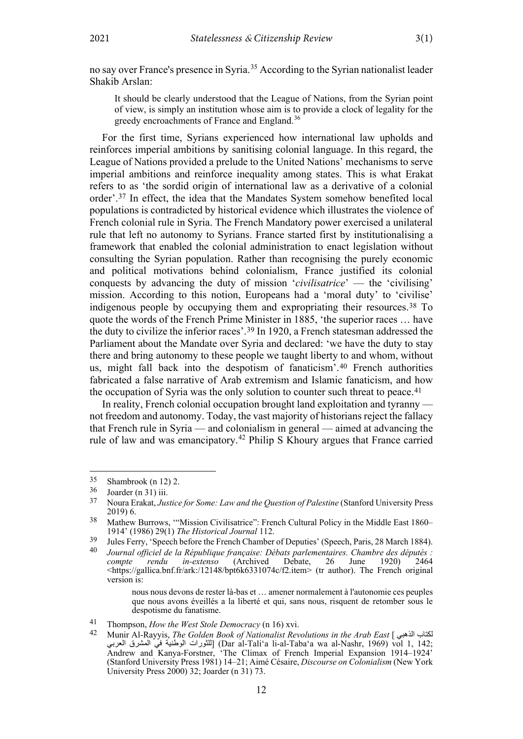no say over France's presence in Syria.[35](#page-6-0) According to the Syrian nationalist leader Shakib Arslan:

It should be clearly understood that the League of Nations, from the Syrian point of view, is simply an institution whose aim is to provide a clock of legality for the greedy encroachments of France and England.[36](#page-6-1)

For the first time, Syrians experienced how international law upholds and reinforces imperial ambitions by sanitising colonial language. In this regard, the League of Nations provided a prelude to the United Nations' mechanisms to serve imperial ambitions and reinforce inequality among states. This is what Erakat refers to as 'the sordid origin of international law as a derivative of a colonial order'.[37](#page-6-2) In effect, the idea that the Mandates System somehow benefited local populations is contradicted by historical evidence which illustrates the violence of French colonial rule in Syria. The French Mandatory power exercised a unilateral rule that left no autonomy to Syrians. France started first by institutionalising a framework that enabled the colonial administration to enact legislation without consulting the Syrian population. Rather than recognising the purely economic and political motivations behind colonialism, France justified its colonial conquests by advancing the duty of mission '*civilisatrice*' — the 'civilising' mission. According to this notion, Europeans had a 'moral duty' to 'civilise' indigenous people by occupying them and expropriating their resources.[38](#page-6-3) To quote the words of the French Prime Minister in 1885, 'the superior races … have the duty to civilize the inferior races'.[39](#page-6-4) In 1920, a French statesman addressed the Parliament about the Mandate over Syria and declared: 'we have the duty to stay there and bring autonomy to these people we taught liberty to and whom, without us, might fall back into the despotism of fanaticism'.[40](#page-6-5) French authorities fabricated a false narrative of Arab extremism and Islamic fanaticism, and how the occupation of Syria was the only solution to counter such threat to peace.<sup>[41](#page-6-6)</sup>

<span id="page-6-8"></span>In reality, French colonial occupation brought land exploitation and tyranny not freedom and autonomy. Today, the vast majority of historians reject the fallacy that French rule in Syria — and colonialism in general — aimed at advancing the rule of law and was emancipatory.[42](#page-6-7) Philip S Khoury argues that France carried

<span id="page-6-0"></span> $\frac{35}{36}$  Shambrook (n [12\)](#page-2-7) 2.<br> $\frac{36}{36}$  Lorder (n 31) iii

<span id="page-6-1"></span> $\frac{36}{37}$  Joarder ([n 31\)](#page-5-2) iii.

<span id="page-6-2"></span><sup>37</sup> Noura Erakat, *Justice for Some: Law and the Question of Palestine* (Stanford University Press 2019) 6.

<span id="page-6-3"></span><sup>38</sup> Mathew Burrows, '"Mission Civilisatrice": French Cultural Policy in the Middle East 1860– 1914' (1986) 29(1) *The Historical Journal* 112.

<span id="page-6-5"></span><span id="page-6-4"></span><sup>&</sup>lt;sup>39</sup> Jules Ferry, 'Speech before the French Chamber of Deputies' (Speech, Paris, 28 March 1884).<br><sup>40</sup> Journal official de la République française: Débats parlementaires, Chambre des députés :

<sup>40</sup> *Journal officiel de la République française: Débats parlementaires. Chambre des députés : compte rendu in-extenso* (Archived Debate, 26 June 1920) 2464  $\frac{\text{th}}{\text{th}}$  /gallica.bnf.fr/ark:/12148/bpt6k6331074c/f2.item> (tr author). The French original version is:

nous nous devons de rester là-bas et … amener normalement à l'autonomie ces peuples que nous avons éveillés a la liberté et qui, sans nous, risquent de retomber sous le despotisme du fanatisme.

<span id="page-6-6"></span><sup>41</sup> Thompson, *How the West Stole Democracy* (n 16) xvi.

<span id="page-6-7"></span><sup>42</sup> Munir Al-Rayyis, *The Golden Book of Nationalist Revolutions in the Arab East* [ الذھبي لكتاب العربي المشرق في الوطنیة للثورات) [Dar al-Tali'a li-al-Taba'a wa al-Nashr, 1969) vol 1, 142; Andrew and Kanya-Forstner, 'The Climax of French Imperial Expansion 1914–1924' (Stanford University Press 1981) 14–21; Aimé Césaire, *Discourse on Colonialism* (New York University Press 2000) 32; Joarder (n [31\)](#page-5-2) 73.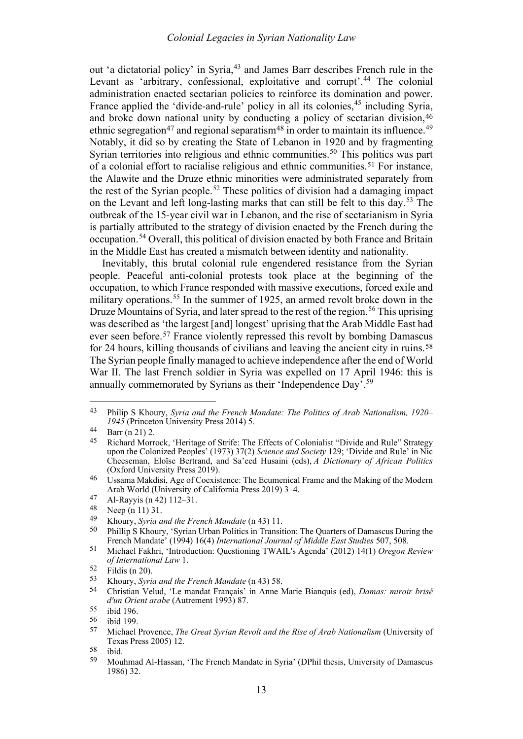<span id="page-7-0"></span>out 'a dictatorial policy' in Syria,<sup>[43](#page-7-1)</sup> and James Barr describes French rule in the Levant as 'arbitrary, confessional, exploitative and corrupt'.<sup>[44](#page-7-2)</sup> The colonial administration enacted sectarian policies to reinforce its domination and power. France applied the 'divide-and-rule' policy in all its colonies,<sup>[45](#page-7-3)</sup> including Syria, and broke down national unity by conducting a policy of sectarian division, [46](#page-7-4) ethnic segregation<sup>[47](#page-7-5)</sup> and regional separatism<sup>[48](#page-7-6)</sup> in order to maintain its influence.<sup>[49](#page-7-7)</sup> Notably, it did so by creating the State of Lebanon in 1920 and by fragmenting Syrian territories into religious and ethnic communities.<sup>[50](#page-7-8)</sup> This politics was part of a colonial effort to racialise religious and ethnic communities.[51](#page-7-9) For instance, the Alawite and the Druze ethnic minorities were administrated separately from the rest of the Syrian people.<sup>[52](#page-7-10)</sup> These politics of division had a damaging impact on the Levant and left long-lasting marks that can still be felt to this day.[53](#page-7-11) The outbreak of the 15-year civil war in Lebanon, and the rise of sectarianism in Syria is partially attributed to the strategy of division enacted by the French during the occupation.[54](#page-7-12) Overall, this political of division enacted by both France and Britain in the Middle East has created a mismatch between identity and nationality.

Inevitably, this brutal colonial rule engendered resistance from the Syrian people. Peaceful anti-colonial protests took place at the beginning of the occupation, to which France responded with massive executions, forced exile and military operations.<sup>[55](#page-7-13)</sup> In the summer of 1925, an armed revolt broke down in the Druze Mountains of Syria, and later spread to the rest of the region.<sup>[56](#page-7-14)</sup> This uprising was described as 'the largest [and] longest' uprising that the Arab Middle East had ever seen before.<sup>[57](#page-7-15)</sup> France violently repressed this revolt by bombing Damascus for 24 hours, killing thousands of civilians and leaving the ancient city in ruins.<sup>58</sup> The Syrian people finally managed to achieve independence after the end of World War II. The last French soldier in Syria was expelled on 17 April 1946: this is annually commemorated by Syrians as their 'Independence Day'.<sup>[59](#page-7-17)</sup>

<span id="page-7-1"></span><sup>43</sup> Philip S Khoury, *Syria and the French Mandate: The Politics of Arab Nationalism, 1920– 1945* (Princeton University Press 2014) 5.

<span id="page-7-2"></span> $\begin{bmatrix} 44 & \text{Barr (n 21) 2.} \\ 45 & \text{Richard Morris} \end{bmatrix}$  $\begin{bmatrix} 44 & \text{Barr (n 21) 2.} \\ 45 & \text{Richard Morris} \end{bmatrix}$  $\begin{bmatrix} 44 & \text{Barr (n 21) 2.} \\ 45 & \text{Richard Morris} \end{bmatrix}$ 

<span id="page-7-3"></span><sup>45</sup> Richard Morrock, 'Heritage of Strife: The Effects of Colonialist "Divide and Rule" Strategy upon the Colonized Peoples' (1973) 37(2) *Science and Society* 129; 'Divide and Rule' in Nic Cheeseman, Eloïse Bertrand, and Sa'eed Husaini (eds), *A Dictionary of African Politics* (Oxford University Press 2019).

<span id="page-7-4"></span><sup>46</sup> Ussama Makdisi, Age of Coexistence: The Ecumenical Frame and the Making of the Modern Arab World (University of California Press 2019) 3–4.

<span id="page-7-5"></span><sup>47</sup> Al-Rayyis (n [42\)](#page-6-8) 112–31.

<span id="page-7-6"></span> $^{48}$  Neep (n [11\)](#page-2-9) 31.<br>  $^{49}$  Khoury Suria a

<span id="page-7-8"></span><span id="page-7-7"></span><sup>49</sup> Khoury, *Syria and the French Mandate* ([n 43\)](#page-7-0) 11.

Phillip S Khoury, 'Syrian Urban Politics in Transition: The Quarters of Damascus During the French Mandate' (1994) 16(4) *International Journal of Middle East Studies* 507, 508.

<span id="page-7-9"></span><sup>51</sup> Michael Fakhri, 'Introduction: Questioning TWAIL's Agenda' (2012) 14(1) *Oregon Review of International Law* 1.

<span id="page-7-10"></span> $\frac{52}{53}$  Fildis (n [20\)](#page-3-12).

<span id="page-7-12"></span><span id="page-7-11"></span><sup>53</sup> Khoury, *Syria and the French Mandate* ([n 43\)](#page-7-0) 58.

<sup>54</sup> Christian Velud, 'Le mandat Français' in Anne Marie Bianquis (ed), *Damas: miroir brisé d'un Orient arabe* (Autrement 1993) 87.

<span id="page-7-13"></span> $\frac{55}{56}$  ibid 196.

<span id="page-7-15"></span><span id="page-7-14"></span> $\frac{56}{57}$  ibid 199.

<sup>57</sup> Michael Provence, *The Great Syrian Revolt and the Rise of Arab Nationalism* (University of Texas Press 2005) 12.

<span id="page-7-17"></span><span id="page-7-16"></span> $\frac{58}{59}$  ibid.

<sup>59</sup> Mouhmad Al-Hassan, 'The French Mandate in Syria' (DPhil thesis, University of Damascus 1986) 32.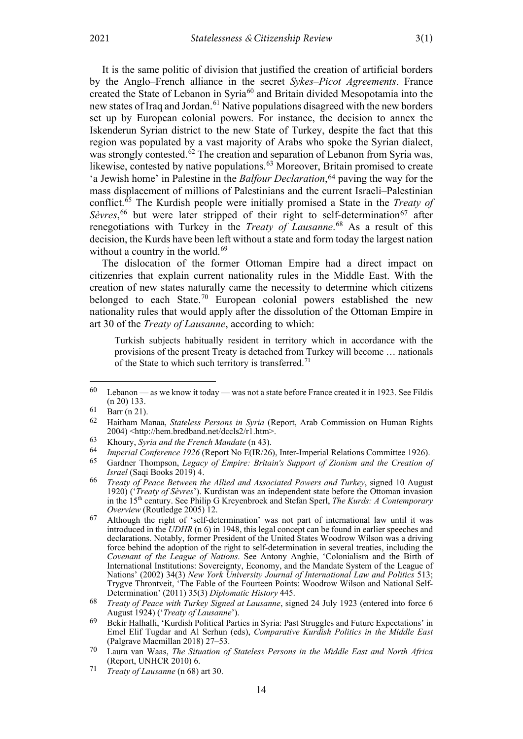<span id="page-8-14"></span>It is the same politic of division that justified the creation of artificial borders by the Anglo–French alliance in the secret *Sykes–Picot Agreements*. France created the State of Lebanon in Syria[60](#page-8-1) and Britain divided Mesopotamia into the new states of Iraq and Jordan.<sup>[61](#page-8-2)</sup> Native populations disagreed with the new borders set up by European colonial powers. For instance, the decision to annex the Iskenderun Syrian district to the new State of Turkey, despite the fact that this region was populated by a vast majority of Arabs who spoke the Syrian dialect, was strongly contested. $62$  The creation and separation of Lebanon from Syria was, likewise, contested by native populations.<sup>[63](#page-8-4)</sup> Moreover, Britain promised to create 'a Jewish home' in Palestine in the *Balfour Declaration*,[64](#page-8-5) paving the way for the mass displacement of millions of Palestinians and the current Israeli–Palestinian conflict.[65](#page-8-6) The Kurdish people were initially promised a State in the *Treaty of*  Sèvres,<sup>[66](#page-8-7)</sup> but were later stripped of their right to self-determination<sup>[67](#page-8-8)</sup> after renegotiations with Turkey in the *Treaty of Lausanne*. [68](#page-8-9) As a result of this decision, the Kurds have been left without a state and form today the largest nation without a country in the world. $69$ 

<span id="page-8-13"></span><span id="page-8-0"></span>The dislocation of the former Ottoman Empire had a direct impact on citizenries that explain current nationality rules in the Middle East. With the creation of new states naturally came the necessity to determine which citizens belonged to each State.<sup>[70](#page-8-11)</sup> European colonial powers established the new nationality rules that would apply after the dissolution of the Ottoman Empire in art 30 of the *Treaty of Lausanne*, according to which:

Turkish subjects habitually resident in territory which in accordance with the provisions of the present Treaty is detached from Turkey will become … nationals of the State to which such territory is transferred.<sup>[71](#page-8-12)</sup>

<span id="page-8-1"></span><sup>60</sup> Lebanon — as we know it today — was not a state before France created it in 1923. See Fildis ([n 20\)](#page-3-12) 133.

<span id="page-8-2"></span> $\overrightarrow{61}$  Barr (n [21\)](#page-3-11).

<span id="page-8-3"></span><sup>62</sup> Haitham Manaa, *Stateless Persons in Syria* (Report, Arab Commission on Human Rights 2004) <http://hem.bredband.net/dccls2/r1.htm>.

<span id="page-8-4"></span><sup>63</sup> Khoury, *Syria and the French Mandate* ([n 43\)](#page-7-0).

<span id="page-8-6"></span><span id="page-8-5"></span><sup>64</sup> *Imperial Conference 1926* (Report No E(IR/26), Inter-Imperial Relations Committee 1926).

<sup>65</sup> Gardner Thompson, *Legacy of Empire: Britain's Support of Zionism and the Creation of Israel* (Saqi Books 2019) 4.

<span id="page-8-7"></span><sup>66</sup> *Treaty of Peace Between the Allied and Associated Powers and Turkey*, signed 10 August 1920) ('*Treaty of Sèvres*'). Kurdistan was an independent state before the Ottoman invasion in the 15th century. See Philip G Kreyenbroek and Stefan Sperl, *The Kurds: A Contemporary Overview* (Routledge 2005) 12.

<span id="page-8-8"></span><sup>67</sup> Although the right of 'self-determination' was not part of international law until it was introduced in the *UDHR* (n [6\)](#page-1-9) in 1948, this legal concept can be found in earlier speeches and declarations. Notably, former President of the United States Woodrow Wilson was a driving force behind the adoption of the right to self-determination in several treaties, including the *Covenant of the League of Nations*. See Antony Anghie, 'Colonialism and the Birth of International Institutions: Sovereignty, Economy, and the Mandate System of the League of Nations' (2002) 34(3) *New York University Journal of International Law and Politics* 513; Trygve Throntveit, 'The Fable of the Fourteen Points: Woodrow Wilson and National Self-Determination' (2011) 35(3) *Diplomatic History* 445.

<span id="page-8-9"></span><sup>68</sup> *Treaty of Peace with Turkey Signed at Lausanne*, signed 24 July 1923 (entered into force 6 August 1924) ('*Treaty of Lausanne*').

<span id="page-8-10"></span><sup>69</sup> Bekir Halhalli, 'Kurdish Political Parties in Syria: Past Struggles and Future Expectations' in Emel Elif Tugdar and Al Serhun (eds), *Comparative Kurdish Politics in the Middle East* (Palgrave Macmillan 2018) 27–53.

<span id="page-8-11"></span><sup>70</sup> Laura van Waas, *The Situation of Stateless Persons in the Middle East and North Africa* (Report, UNHCR 2010) 6.

<span id="page-8-12"></span><sup>71</sup> *Treaty of Lausanne* (n [68\)](#page-8-0) art 30.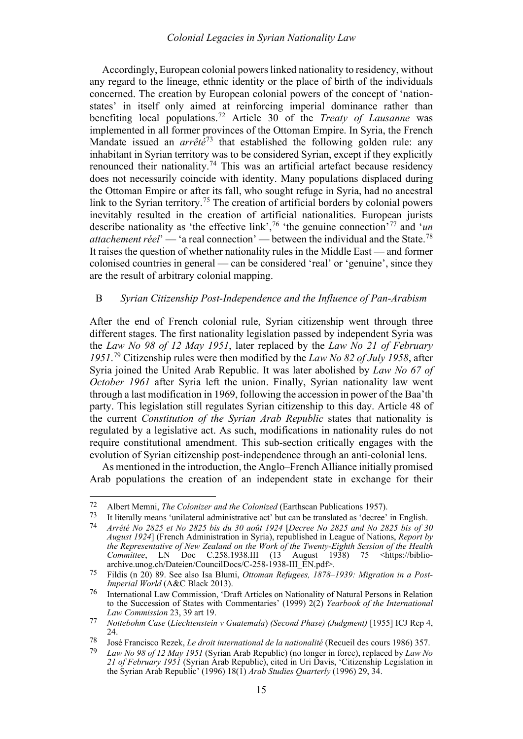<span id="page-9-10"></span>Accordingly, European colonial powers linked nationality to residency, without any regard to the lineage, ethnic identity or the place of birth of the individuals concerned. The creation by European colonial powers of the concept of 'nationstates' in itself only aimed at reinforcing imperial dominance rather than benefiting local populations.[72](#page-9-1) Article 30 of the *Treaty of Lausanne* was implemented in all former provinces of the Ottoman Empire. In Syria, the French Mandate issued an *arrêté*[73](#page-9-2) that established the following golden rule: any inhabitant in Syrian territory was to be considered Syrian, except if they explicitly renounced their nationality.<sup>[74](#page-9-3)</sup> This was an artificial artefact because residency does not necessarily coincide with identity. Many populations displaced during the Ottoman Empire or after its fall, who sought refuge in Syria, had no ancestral link to the Syrian territory.<sup>[75](#page-9-4)</sup> The creation of artificial borders by colonial powers inevitably resulted in the creation of artificial nationalities. European jurists describe nationality as 'the effective link',[76](#page-9-5) 'the genuine connection'[77](#page-9-6) and '*un attachement réel*' — 'a real connection' — between the individual and the State.[78](#page-9-7) It raises the question of whether nationality rules in the Middle East — and former colonised countries in general — can be considered 'real' or 'genuine', since they are the result of arbitrary colonial mapping.

### <span id="page-9-0"></span>B *Syrian Citizenship Post-Independence and the Influence of Pan-Arabism*

<span id="page-9-9"></span>After the end of French colonial rule, Syrian citizenship went through three different stages. The first nationality legislation passed by independent Syria was the *Law No 98 of 12 May 1951*, later replaced by the *Law No 21 of February 1951*. [79](#page-9-8) Citizenship rules were then modified by the *Law No 82 of July 1958*, after Syria joined the United Arab Republic. It was later abolished by *Law No 67 of October 1961* after Syria left the union. Finally, Syrian nationality law went through a last modification in 1969, following the accession in power of the Baa'th party. This legislation still regulates Syrian citizenship to this day. Article 48 of the current *Constitution of the Syrian Arab Republic* states that nationality is regulated by a legislative act. As such, modifications in nationality rules do not require constitutional amendment. This sub-section critically engages with the evolution of Syrian citizenship post-independence through an anti-colonial lens.

As mentioned in the introduction, the Anglo–French Alliance initially promised Arab populations the creation of an independent state in exchange for their

<span id="page-9-1"></span><sup>72</sup> Albert Memni, *The Colonizer and the Colonized* (Earthscan Publications 1957).

<span id="page-9-2"></span><sup>73</sup> It literally means 'unilateral administrative act' but can be translated as 'decree' in English.<br>74  $4m^2\hbar^2$  and  $N_2$  2225 at  $N_2$  2225 kin du 20 and 1024 [Decree  $N_2$  225 and  $N_2$  225 kin of 21

<span id="page-9-3"></span><sup>74</sup> *Arrêté No 2825 et No 2825 bis du 30 août 1924* [*Decree No 2825 and No 2825 bis of 30 August 1924*] (French Administration in Syria), republished in League of Nations, *Report by the Representative of New Zealand on the Work of the Twenty-Eighth Session of the Health Committee*, LN Doc C.258.1938.III (13 August 1938) 75 <https://biblioarchive.unog.ch/Dateien/CouncilDocs/C-258-1938-III\_EN.pdf>.

<span id="page-9-4"></span><sup>75</sup> Fildis (n [20\)](#page-3-12) 89. See also Isa Blumi, *Ottoman Refugees, 1878–1939: Migration in a Post-Imperial World* (A&C Black 2013).

<span id="page-9-5"></span><sup>76</sup> International Law Commission, 'Draft Articles on Nationality of Natural Persons in Relation to the Succession of States with Commentaries' (1999) 2(2) *Yearbook of the International Law Commission* 23, 39 art 19.

<span id="page-9-6"></span><sup>77</sup> *Nottebohm Case* (*Liechtenstein v Guatemala*) *(Second Phase) (Judgment)* [1955] ICJ Rep 4, 24.

<span id="page-9-8"></span><span id="page-9-7"></span><sup>78</sup> José Francisco Rezek, *Le droit international de la nationalité* (Recueil des cours 1986) 357.

<sup>79</sup> *Law No 98 of 12 May 1951* (Syrian Arab Republic) (no longer in force), replaced by *Law No 21 of February 1951* (Syrian Arab Republic), cited in Uri Davis, 'Citizenship Legislation in the Syrian Arab Republic' (1996) 18(1) *Arab Studies Quarterly* (1996) 29, 34.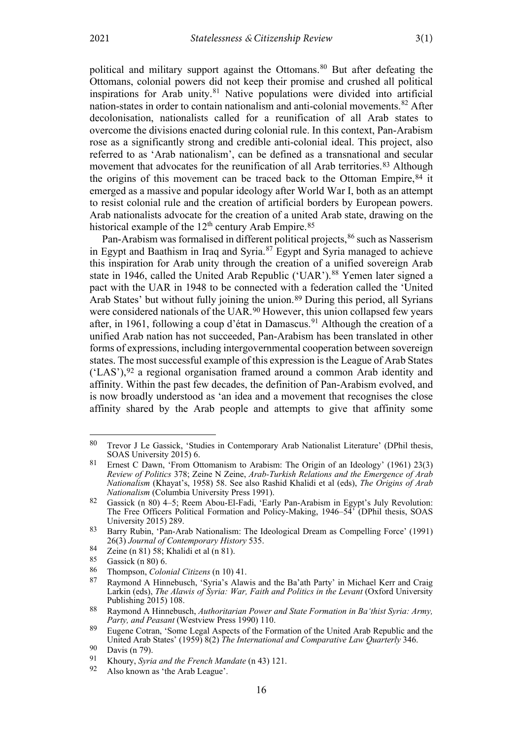<span id="page-10-1"></span><span id="page-10-0"></span>political and military support against the Ottomans.<sup>[80](#page-10-2)</sup> But after defeating the Ottomans, colonial powers did not keep their promise and crushed all political inspirations for Arab unity. $81$  Native populations were divided into artificial nation-states in order to contain nationalism and anti-colonial movements.<sup>[82](#page-10-4)</sup> After decolonisation, nationalists called for a reunification of all Arab states to overcome the divisions enacted during colonial rule. In this context, Pan-Arabism rose as a significantly strong and credible anti-colonial ideal. This project, also referred to as 'Arab nationalism', can be defined as a transnational and secular movement that advocates for the reunification of all Arab territories.<sup>[83](#page-10-5)</sup> Although the origins of this movement can be traced back to the Ottoman Empire,[84](#page-10-6) it emerged as a massive and popular ideology after World War I, both as an attempt to resist colonial rule and the creation of artificial borders by European powers. Arab nationalists advocate for the creation of a united Arab state, drawing on the historical example of the  $12^{th}$  century Arab Empire.<sup>[85](#page-10-7)</sup>

Pan-Arabism was formalised in different political projects, <sup>[86](#page-10-8)</sup> such as Nasserism in Egypt and Baathism in Iraq and Syria.[87](#page-10-9) Egypt and Syria managed to achieve this inspiration for Arab unity through the creation of a unified sovereign Arab state in 1946, called the United Arab Republic ('UAR').<sup>[88](#page-10-10)</sup> Yemen later signed a pact with the UAR in 1948 to be connected with a federation called the 'United Arab States' but without fully joining the union.[89](#page-10-11) During this period, all Syrians were considered nationals of the UAR.<sup>[90](#page-10-12)</sup> However, this union collapsed few years after, in 1961, following a coup d'état in Damascus.<sup>[91](#page-10-13)</sup> Although the creation of a unified Arab nation has not succeeded, Pan-Arabism has been translated in other forms of expressions, including intergovernmental cooperation between sovereign states. The most successful example of this expression is the League of Arab States  $(LAS')$ ,  $92$  a regional organisation framed around a common Arab identity and affinity. Within the past few decades, the definition of Pan-Arabism evolved, and is now broadly understood as 'an idea and a movement that recognises the close affinity shared by the Arab people and attempts to give that affinity some

<span id="page-10-2"></span><sup>80</sup> Trevor J Le Gassick, 'Studies in Contemporary Arab Nationalist Literature' (DPhil thesis, SOAS University 2015) 6.

<span id="page-10-3"></span><sup>81</sup> Ernest C Dawn, 'From Ottomanism to Arabism: The Origin of an Ideology' (1961) 23(3) *Review of Politics* 378; Zeine N Zeine, *Arab-Turkish Relations and the Emergence of Arab Nationalism* (Khayat's, 1958) 58. See also Rashid Khalidi et al (eds), *The Origins of Arab Nationalism* (Columbia University Press 1991).

<span id="page-10-4"></span><sup>82</sup> Gassick (n [80\)](#page-10-0) 4–5; Reem Abou-El-Fadi, 'Early Pan-Arabism in Egypt's July Revolution: The Free Officers Political Formation and Policy-Making, 1946–54' (DPhil thesis, SOAS University 2015) 289.

<span id="page-10-5"></span><sup>83</sup> Barry Rubin, 'Pan-Arab Nationalism: The Ideological Dream as Compelling Force' (1991) 26(3) *Journal of Contemporary History* 535.

<span id="page-10-6"></span><sup>84</sup> Zeine (n [81\)](#page-10-1) 58; Khalidi et al (n 81).<br>85 Gassick (n 80) 6

<span id="page-10-7"></span>Gassick (n [80\)](#page-10-0) 6.

<span id="page-10-9"></span><span id="page-10-8"></span><sup>86</sup> Thompson, *Colonial Citizens* ([n 10\)](#page-2-8) 41.

<sup>87</sup> Raymond A Hinnebusch, 'Syria's Alawis and the Ba'ath Party' in Michael Kerr and Craig Larkin (eds), *The Alawis of Syria: War, Faith and Politics in the Levant* (Oxford University Publishing 2015) 108.

<span id="page-10-10"></span><sup>88</sup> Raymond A Hinnebusch, *Authoritarian Power and State Formation in Baʻthist Syria: Army, Party, and Peasant* (Westview Press 1990) 110.

<span id="page-10-11"></span><sup>89</sup> Eugene Cotran, 'Some Legal Aspects of the Formation of the United Arab Republic and the United Arab States' (1959) 8(2) *The International and Comparative Law Quarterly* 346.

<span id="page-10-12"></span><sup>90</sup> Davis (n [79\)](#page-9-9).<br>91 Khoury Syrie

<span id="page-10-14"></span><span id="page-10-13"></span><sup>91</sup> Khoury, *Syria and the French Mandate* ([n 43\)](#page-7-0) 121.

Also known as 'the Arab League'.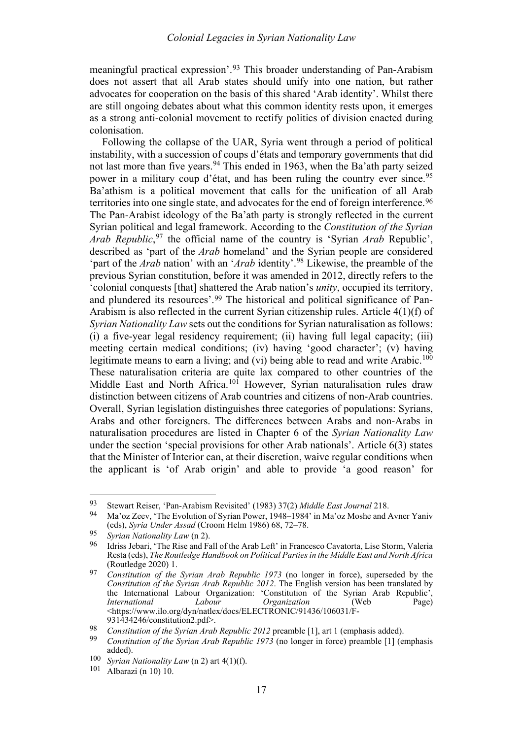meaningful practical expression'.[93](#page-11-0) This broader understanding of Pan-Arabism does not assert that all Arab states should unify into one nation, but rather advocates for cooperation on the basis of this shared 'Arab identity'. Whilst there are still ongoing debates about what this common identity rests upon, it emerges as a strong anti-colonial movement to rectify politics of division enacted during colonisation.

Following the collapse of the UAR, Syria went through a period of political instability, with a succession of coups d'états and temporary governments that did not last more than five years.<sup>[94](#page-11-1)</sup> This ended in 1963, when the Ba'ath party seized power in a military coup d'état, and has been ruling the country ever since.<sup>[95](#page-11-2)</sup> Ba'athism is a political movement that calls for the unification of all Arab territories into one single state, and advocates for the end of foreign interference.[96](#page-11-3) The Pan-Arabist ideology of the Ba'ath party is strongly reflected in the current Syrian political and legal framework. According to the *Constitution of the Syrian Arab Republic*, [97](#page-11-4) the official name of the country is 'Syrian *Arab* Republic', described as 'part of the *Arab* homeland' and the Syrian people are considered 'part of the *Arab* nation' with an '*Arab* identity'.[98](#page-11-5) Likewise, the preamble of the previous Syrian constitution, before it was amended in 2012, directly refers to the 'colonial conquests [that] shattered the Arab nation's *unity*, occupied its territory, and plundered its resources'.[99](#page-11-6) The historical and political significance of Pan-Arabism is also reflected in the current Syrian citizenship rules. Article 4(1)(f) of *Syrian Nationality Law* sets out the conditions for Syrian naturalisation as follows: (i) a five-year legal residency requirement; (ii) having full legal capacity; (iii) meeting certain medical conditions; (iv) having 'good character'; (v) having legitimate means to earn a living; and (vi) being able to read and write Arabic.<sup>[100](#page-11-7)</sup> These naturalisation criteria are quite lax compared to other countries of the Middle East and North Africa.<sup>[101](#page-11-8)</sup> However, Syrian naturalisation rules draw distinction between citizens of Arab countries and citizens of non-Arab countries. Overall, Syrian legislation distinguishes three categories of populations: Syrians, Arabs and other foreigners. The differences between Arabs and non-Arabs in naturalisation procedures are listed in Chapter 6 of the *Syrian Nationality Law* under the section 'special provisions for other Arab nationals'. Article 6(3) states that the Minister of Interior can, at their discretion, waive regular conditions when the applicant is 'of Arab origin' and able to provide 'a good reason' for

<span id="page-11-0"></span><sup>93</sup> Stewart Reiser, 'Pan-Arabism Revisited' (1983) 37(2) *Middle East Journal* 218.

<span id="page-11-1"></span><sup>94</sup> Ma'oz Zeev, 'The Evolution of Syrian Power, 1948–1984' in Ma'oz Moshe and Avner Yaniv (eds), *Syria Under Assad* (Croom Helm 1986) 68, 72–78.

<span id="page-11-2"></span><sup>95</sup> *Syrian Nationality Law* ([n 2\)](#page-1-10).

<span id="page-11-3"></span><sup>96</sup> Idriss Jebari, 'The Rise and Fall of the Arab Left' in Francesco Cavatorta, Lise Storm, Valeria Resta (eds), *The Routledge Handbook on Political Parties in the Middle East and North Africa* (Routledge 2020) 1.

<span id="page-11-4"></span><sup>97</sup> *Constitution of the Syrian Arab Republic 1973* (no longer in force), superseded by the *Constitution of the Syrian Arab Republic 2012*. The English version has been translated by the International Labour Organization: 'Constitution of the Syrian Arab Republic<sup>'</sup>,<br>International Labour Organization (Web Page) *Organization* (Web Page) <https://www.ilo.org/dyn/natlex/docs/ELECTRONIC/91436/106031/F-931434246/constitution2.pdf>.

<span id="page-11-6"></span><span id="page-11-5"></span><sup>98</sup> *Constitution of the Syrian Arab Republic 2012* preamble [1], art 1 (emphasis added).

<sup>99</sup> *Constitution of the Syrian Arab Republic 1973* (no longer in force) preamble [1] (emphasis added).

<span id="page-11-8"></span><span id="page-11-7"></span><sup>100</sup> *Syrian Nationality Law* ([n 2\)](#page-1-10) art 4(1)(f).

<sup>101</sup> Albarazi ([n 10\)](#page-2-8) 10.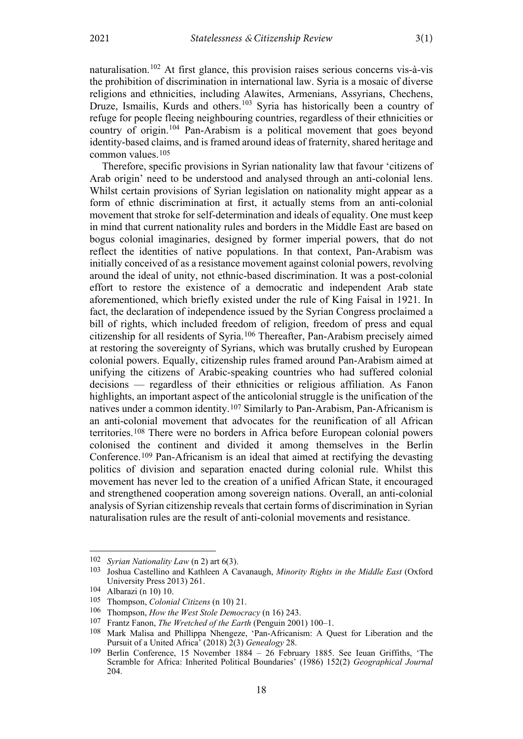naturalisation.[102](#page-12-0) At first glance, this provision raises serious concerns vis-à-vis the prohibition of discrimination in international law. Syria is a mosaic of diverse religions and ethnicities, including Alawites, Armenians, Assyrians, Chechens, Druze, Ismailis, Kurds and others.<sup>[103](#page-12-1)</sup> Syria has historically been a country of refuge for people fleeing neighbouring countries, regardless of their ethnicities or country of origin.[104](#page-12-2) Pan-Arabism is a political movement that goes beyond identity-based claims, and is framed around ideas of fraternity, shared heritage and common values.[105](#page-12-3)

Therefore, specific provisions in Syrian nationality law that favour 'citizens of Arab origin' need to be understood and analysed through an anti-colonial lens. Whilst certain provisions of Syrian legislation on nationality might appear as a form of ethnic discrimination at first, it actually stems from an anti-colonial movement that stroke for self-determination and ideals of equality. One must keep in mind that current nationality rules and borders in the Middle East are based on bogus colonial imaginaries, designed by former imperial powers, that do not reflect the identities of native populations. In that context, Pan-Arabism was initially conceived of as a resistance movement against colonial powers, revolving around the ideal of unity, not ethnic-based discrimination. It was a post-colonial effort to restore the existence of a democratic and independent Arab state aforementioned, which briefly existed under the rule of King Faisal in 1921. In fact, the declaration of independence issued by the Syrian Congress proclaimed a bill of rights, which included freedom of religion, freedom of press and equal citizenship for all residents of Syria.[106](#page-12-4) Thereafter, Pan-Arabism precisely aimed at restoring the sovereignty of Syrians, which was brutally crushed by European colonial powers. Equally, citizenship rules framed around Pan-Arabism aimed at unifying the citizens of Arabic-speaking countries who had suffered colonial decisions — regardless of their ethnicities or religious affiliation. As Fanon highlights, an important aspect of the anticolonial struggle is the unification of the natives under a common identity.[107](#page-12-5) Similarly to Pan-Arabism, Pan-Africanism is an anti-colonial movement that advocates for the reunification of all African territories.[108](#page-12-6) There were no borders in Africa before European colonial powers colonised the continent and divided it among themselves in the Berlin Conference.[109](#page-12-7) Pan-Africanism is an ideal that aimed at rectifying the devasting politics of division and separation enacted during colonial rule. Whilst this movement has never led to the creation of a unified African State, it encouraged and strengthened cooperation among sovereign nations. Overall, an anti-colonial analysis of Syrian citizenship reveals that certain forms of discrimination in Syrian naturalisation rules are the result of anti-colonial movements and resistance.

<span id="page-12-8"></span><span id="page-12-1"></span><span id="page-12-0"></span><sup>102</sup> *Syrian Nationality Law* ([n 2\)](#page-1-10) art 6(3).

<sup>103</sup> Joshua Castellino and Kathleen A Cavanaugh, *Minority Rights in the Middle East* (Oxford University Press 2013) 261.

<span id="page-12-3"></span><span id="page-12-2"></span><sup>104</sup> Albarazi ([n 10\)](#page-2-8) 10.<br>105 Thompson Colonia

<sup>105</sup> Thompson, *Colonial Citizens* ([n 10\)](#page-2-8) 21.

<span id="page-12-4"></span><sup>106</sup> Thompson, *How the West Stole Democracy* ([n 16\)](#page-3-10) 243.

<span id="page-12-6"></span><span id="page-12-5"></span><sup>107</sup> Frantz Fanon, *The Wretched of the Earth* (Penguin 2001) 100–1.

Mark Malisa and Phillippa Nhengeze, 'Pan-Africanism: A Quest for Liberation and the Pursuit of a United Africa' (2018) 2(3) *Genealogy* 28.

<span id="page-12-7"></span><sup>109</sup> Berlin Conference, 15 November 1884 – 26 February 1885. See Ieuan Griffiths, 'The Scramble for Africa: Inherited Political Boundaries' (1986) 152(2) *Geographical Journal*  204.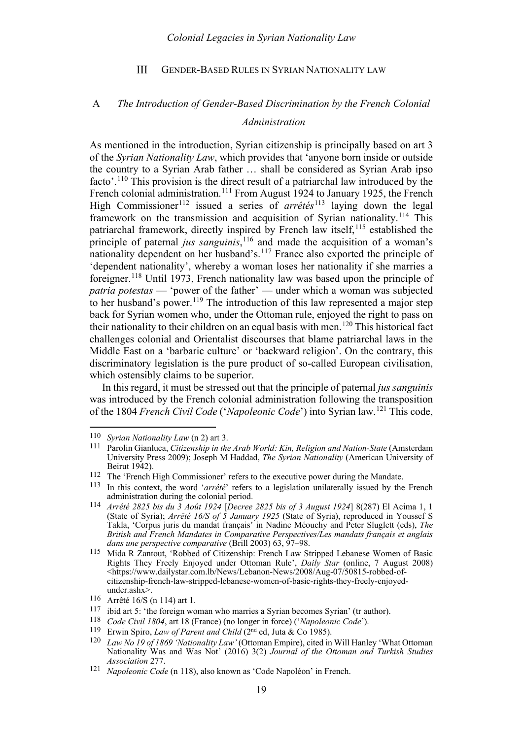#### <span id="page-13-16"></span> $III$ GENDER-BASED RULES IN SYRIAN NATIONALITY LAW

# <span id="page-13-1"></span><span id="page-13-0"></span>A *The Introduction of Gender-Based Discrimination by the French Colonial Administration*

As mentioned in the introduction, Syrian citizenship is principally based on art 3 of the *Syrian Nationality Law*, which provides that 'anyone born inside or outside the country to a Syrian Arab father … shall be considered as Syrian Arab ipso facto'.<sup>[110](#page-13-3)</sup> This provision is the direct result of a patriarchal law introduced by the French colonial administration.<sup>[111](#page-13-4)</sup> From August 1924 to January 1925, the French High Commissioner<sup>[112](#page-13-5)</sup> issued a series of *arrêtés*<sup>[113](#page-13-6)</sup> laying down the legal framework on the transmission and acquisition of Syrian nationality.<sup>[114](#page-13-7)</sup> This patriarchal framework, directly inspired by French law itself, $115$  established the principle of paternal *jus sanguinis*,<sup>[116](#page-13-9)</sup> and made the acquisition of a woman's nationality dependent on her husband's.<sup>[117](#page-13-10)</sup> France also exported the principle of 'dependent nationality', whereby a woman loses her nationality if she marries a foreigner.[118](#page-13-11) Until 1973, French nationality law was based upon the principle of *patria potestas* — 'power of the father' — under which a woman was subjected to her husband's power.<sup>[119](#page-13-12)</sup> The introduction of this law represented a major step back for Syrian women who, under the Ottoman rule, enjoyed the right to pass on their nationality to their children on an equal basis with men.<sup>[120](#page-13-13)</sup> This historical fact challenges colonial and Orientalist discourses that blame patriarchal laws in the Middle East on a 'barbaric culture' or 'backward religion'. On the contrary, this discriminatory legislation is the pure product of so-called European civilisation, which ostensibly claims to be superior.

<span id="page-13-15"></span><span id="page-13-2"></span>In this regard, it must be stressed out that the principle of paternal *jus sanguinis*  was introduced by the French colonial administration following the transposition of the 1804 *French Civil Code* ('*Napoleonic Code*') into Syrian law.[121](#page-13-14) This code,

<span id="page-13-4"></span><span id="page-13-3"></span><sup>110</sup> *Syrian Nationality Law* ([n 2\)](#page-1-10) art 3.

<sup>111</sup> Parolin Gianluca, *Citizenship in the Arab World: Kin, Religion and Nation-State* (Amsterdam University Press 2009); Joseph M Haddad, *The Syrian Nationality* (American University of Beirut 1942).

<span id="page-13-6"></span><span id="page-13-5"></span><sup>112</sup> The 'French High Commissioner' refers to the executive power during the Mandate.

<sup>113</sup> In this context, the word '*arrêté*' refers to a legislation unilaterally issued by the French administration during the colonial period.

<span id="page-13-7"></span><sup>114</sup> *Arrêté 2825 bis du 3 Août 1924* [*Decree 2825 bis of 3 August 1924*] 8(287) El Acima 1, 1 (State of Syria); *Arrêté 16/S of 5 January 1925* (State of Syria), reproduced in Youssef S Takla, 'Corpus juris du mandat français' in Nadine Méouchy and Peter Sluglett (eds), *The British and French Mandates in Comparative Perspectives/Les mandats français et anglais*  dans une perspective comparative (Brill 2003) 63, 97-98.

<span id="page-13-8"></span><sup>115</sup> Mida R Zantout, 'Robbed of Citizenship: French Law Stripped Lebanese Women of Basic Rights They Freely Enjoyed under Ottoman Rule', *Daily Star* (online, 7 August 2008) <https://www.dailystar.com.lb/News/Lebanon-News/2008/Aug-07/50815-robbed-ofcitizenship-french-law-stripped-lebanese-women-of-basic-rights-they-freely-enjoyedunder.ashx>.

<span id="page-13-9"></span><sup>116</sup> Arrêté 16/S (n 114) art 1.

<span id="page-13-10"></span><sup>117</sup> ibid art 5: 'the foreign woman who marries a Syrian becomes Syrian' (tr author).

<span id="page-13-12"></span><span id="page-13-11"></span><sup>118</sup> *Code Civil 1804*, art 18 (France) (no longer in force) ('*Napoleonic Code*').

<sup>119</sup> Erwin Spiro, *Law of Parent and Child* (2nd ed, Juta & Co 1985).

<span id="page-13-13"></span><sup>120</sup> *Law No 19 of 1869 'Nationality Law'* (Ottoman Empire), cited in Will Hanley 'What Ottoman Nationality Was and Was Not' (2016) 3(2) *Journal of the Ottoman and Turkish Studies Association* 277.

<span id="page-13-14"></span><sup>121</sup> *Napoleonic Code* (n [118\)](#page-13-2), also known as 'Code Napoléon' in French.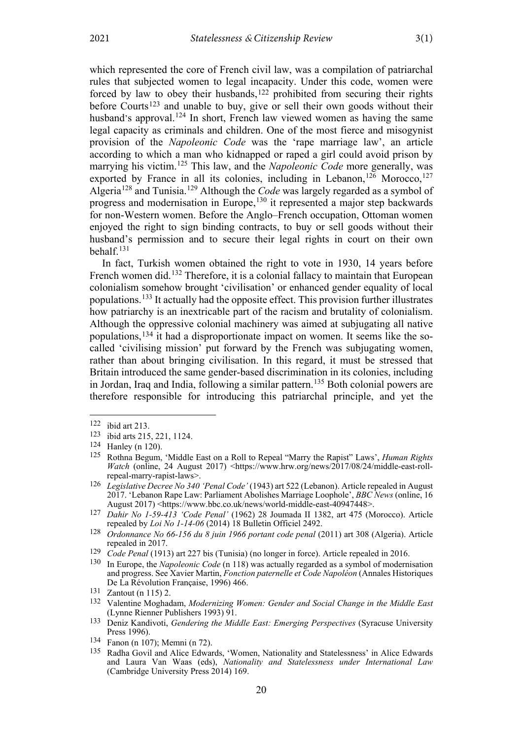which represented the core of French civil law, was a compilation of patriarchal rules that subjected women to legal incapacity. Under this code, women were forced by law to obey their husbands,<sup>[122](#page-14-0)</sup> prohibited from securing their rights before Courts[123](#page-14-1) and unable to buy, give or sell their own goods without their husband's approval.<sup>124</sup> In short, French law viewed women as having the same legal capacity as criminals and children. One of the most fierce and misogynist provision of the *Napoleonic Code* was the 'rape marriage law', an article according to which a man who kidnapped or raped a girl could avoid prison by marrying his victim.<sup>125</sup> This law, and the *Napoleonic Code* more generally, was exported by France in all its colonies, including in Lebanon,<sup>126</sup> Morocco,<sup>127</sup> Algeria<sup>128</sup> and Tunisia.<sup>129</sup> Although the *Code* was largely regarded as a symbol of progress and modernisation in Europe,<sup>130</sup> it represented a major step backwards for non-Western women. Before the Anglo–French occupation, Ottoman women enjoyed the right to sign binding contracts, to buy or sell goods without their husband's permission and to secure their legal rights in court on their own behalf.*13F* 131

In fact, Turkish women obtained the right to vote in 1930, 14 years before French women did.<sup>[132](#page-14-2)</sup> Therefore, it is a colonial fallacy to maintain that European colonialism somehow brought 'civilisation' or enhanced gender equality of local populations.[133](#page-14-3) It actually had the opposite effect. This provision further illustrates how patriarchy is an inextricable part of the racism and brutality of colonialism. Although the oppressive colonial machinery was aimed at subjugating all native populations,[134](#page-14-4) it had a disproportionate impact on women. It seems like the socalled 'civilising mission' put forward by the French was subjugating women, rather than about bringing civilisation. In this regard, it must be stressed that Britain introduced the same gender-based discrimination in its colonies, including in Jordan, Iraq and India, following a similar pattern.[135](#page-14-5) Both colonial powers are therefore responsible for introducing this patriarchal principle, and yet the

<span id="page-14-0"></span><sup>122</sup> ibid art 213.

<span id="page-14-1"></span><sup>123</sup> ibid arts 215, 221, 1124.

<sup>124</sup> Hanley (n [120\)](#page-13-15).

<sup>125</sup> Rothna Begum, 'Middle East on a Roll to Repeal "Marry the Rapist" Laws', *Human Rights Watch* (online, 24 August 2017) <https://www.hrw.org/news/2017/08/24/middle-east-rollrepeal-marry-rapist-laws>.

<sup>126</sup> *Legislative Decree No 340 'Penal Code'* (1943) art 522 (Lebanon). Article repealed in August 2017. 'Lebanon Rape Law: Parliament Abolishes Marriage Loophole', *BBC News* (online, 16 August 2017) <https://www.bbc.co.uk/news/world-middle-east-40947448>.

<sup>127</sup> *Dahir No 1-59-413 'Code Penal'* (1962) 28 Joumada II 1382, art 475 (Morocco). Article repealed by *Loi No 1-14-06* (2014) 18 Bulletin Officiel 2492.

<sup>128</sup> *Ordonnance No 66-156 du 8 juin 1966 portant code penal* (2011) art 308 (Algeria). Article repealed in 2017.

<sup>129</sup> *Code Penal* (1913) art 227 bis (Tunisia) (no longer in force). Article repealed in 2016.

<sup>130</sup> In Europe, the *Napoleonic Code* (n [118\)](#page-13-2) was actually regarded as a symbol of modernisation and progress. See Xavier Martin, *Fonction paternelle et Code Napoléon* (Annales Historiques De La Révolution Française, 1996) 466.

<span id="page-14-2"></span><sup>131</sup> Zantout (n [115\)](#page-13-16) 2.

<sup>132</sup> Valentine Moghadam, *Modernizing Women: Gender and Social Change in the Middle East* (Lynne Rienner Publishers 1993) 91.

<span id="page-14-3"></span><sup>133</sup> Deniz Kandivoti, *Gendering the Middle East: Emerging Perspectives* (Syracuse University Press 1996).

<span id="page-14-5"></span><span id="page-14-4"></span><sup>134</sup> Fanon (n [107\)](#page-12-8); Memni (n [72\)](#page-9-10).

<sup>135</sup> Radha Govil and Alice Edwards, 'Women, Nationality and Statelessness' in Alice Edwards and Laura Van Waas (eds), *Nationality and Statelessness under International Law* (Cambridge University Press 2014) 169.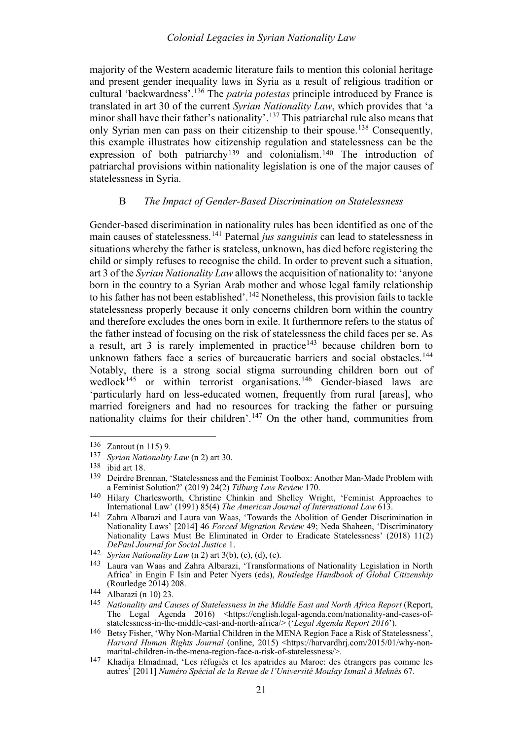### *Colonial Legacies in Syrian Nationality Law*

majority of the Western academic literature fails to mention this colonial heritage and present gender inequality laws in Syria as a result of religious tradition or cultural 'backwardness'.[136](#page-15-1) The *patria potestas* principle introduced by France is translated in art 30 of the current *Syrian Nationality Law*, which provides that 'a minor shall have their father's nationality'.<sup>[137](#page-15-2)</sup> This patriarchal rule also means that only Syrian men can pass on their citizenship to their spouse.[138](#page-15-3) Consequently, this example illustrates how citizenship regulation and statelessness can be the expression of both patriarchy[139](#page-15-4) and colonialism.[140](#page-15-5) The introduction of patriarchal provisions within nationality legislation is one of the major causes of statelessness in Syria.

### <span id="page-15-14"></span><span id="page-15-0"></span>B *The Impact of Gender-Based Discrimination on Statelessness*

Gender-based discrimination in nationality rules has been identified as one of the main causes of statelessness.[141](#page-15-6) Paternal *jus sanguinis* can lead to statelessness in situations whereby the father is stateless, unknown, has died before registering the child or simply refuses to recognise the child. In order to prevent such a situation, art 3 of the *Syrian Nationality Law* allows the acquisition of nationality to: 'anyone born in the country to a Syrian Arab mother and whose legal family relationship to his father has not been established'.<sup>[142](#page-15-7)</sup> Nonetheless, this provision fails to tackle statelessness properly because it only concerns children born within the country and therefore excludes the ones born in exile. It furthermore refers to the status of the father instead of focusing on the risk of statelessness the child faces per se. As a result, art  $3$  is rarely implemented in practice<sup>[143](#page-15-8)</sup> because children born to unknown fathers face a series of bureaucratic barriers and social obstacles.<sup>[144](#page-15-9)</sup> Notably, there is a strong social stigma surrounding children born out of wedlock<sup>[145](#page-15-10)</sup> or within terrorist organisations.<sup>[146](#page-15-11)</sup> Gender-biased laws are 'particularly hard on less-educated women, frequently from rural [areas], who married foreigners and had no resources for tracking the father or pursuing nationality claims for their children'.[147](#page-15-12) On the other hand, communities from

<span id="page-15-13"></span><span id="page-15-1"></span><sup>136</sup> Zantout (n [115\)](#page-13-16) 9.

<span id="page-15-3"></span><span id="page-15-2"></span><sup>137</sup> *Syrian Nationality Law* ([n 2\)](#page-1-10) art 30.

<sup>138</sup> ibid art 18.

<span id="page-15-4"></span><sup>139</sup> Deirdre Brennan, 'Statelessness and the Feminist Toolbox: Another Man-Made Problem with a Feminist Solution?' (2019) 24(2) *Tilburg Law Review* 170.

<span id="page-15-5"></span><sup>140</sup> Hilary Charlesworth, Christine Chinkin and Shelley Wright, 'Feminist Approaches to International Law' (1991) 85(4) *The American Journal of International Law* 613.

<span id="page-15-6"></span><sup>141</sup> Zahra Albarazi and Laura van Waas, 'Towards the Abolition of Gender Discrimination in Nationality Laws' [2014] 46 *Forced Migration Review* 49; Neda Shaheen, 'Discriminatory Nationality Laws Must Be Eliminated in Order to Eradicate Statelessness' (2018) 11(2) *DePaul Journal for Social Justice* 1.

<span id="page-15-7"></span><sup>142</sup> *Syrian Nationality Law* ([n 2\)](#page-1-10) art 3(b), (c), (d), (e).

<span id="page-15-8"></span><sup>143</sup> Laura van Waas and Zahra Albarazi, 'Transformations of Nationality Legislation in North Africa' in Engin F Isin and Peter Nyers (eds), *Routledge Handbook of Global Citizenship* (Routledge 2014) 208.

<span id="page-15-9"></span><sup>144</sup> Albarazi ([n 10\)](#page-2-8) 23.

<span id="page-15-10"></span><sup>145</sup> *Nationality and Causes of Statelessness in the Middle East and North Africa Report* (Report, The Legal Agenda 2016) <https://english.legal-agenda.com/nationality-and-cases-ofstatelessness-in-the-middle-east-and-north-africa/> ('*Legal Agenda Report 2016*').

<span id="page-15-11"></span><sup>146</sup> Betsy Fisher, 'Why Non-Martial Children in the MENA Region Face a Risk of Statelessness', *Harvard Human Rights Journal* (online, 2015) <https://harvardhrj.com/2015/01/why-nonmarital-children-in-the-mena-region-face-a-risk-of-statelessness/>.

<span id="page-15-12"></span><sup>147</sup> Khadija Elmadmad, 'Les réfugiés et les apatrides au Maroc: des étrangers pas comme les autres' [2011] *Numéro Spécial de la Revue de l'Université Moulay Ismail à Meknès* 67.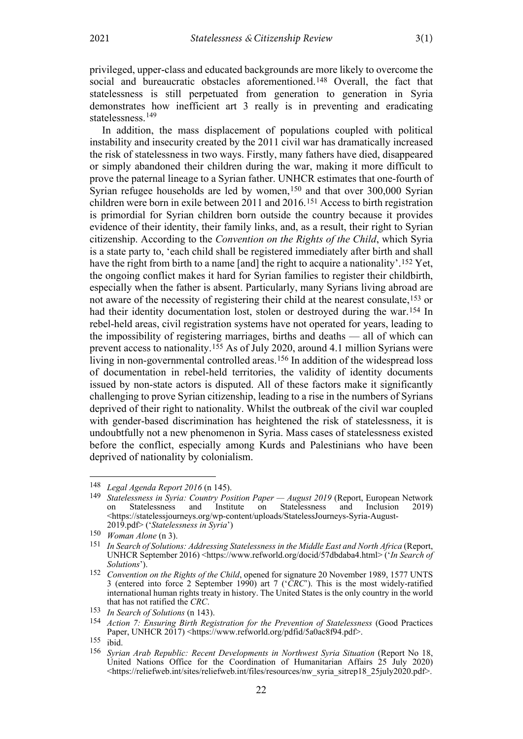privileged, upper-class and educated backgrounds are more likely to overcome the social and bureaucratic obstacles aforementioned.[148](#page-16-0) Overall, the fact that statelessness is still perpetuated from generation to generation in Syria demonstrates how inefficient art 3 really is in preventing and eradicating statelessness.<sup>[149](#page-16-1)</sup>

<span id="page-16-9"></span>In addition, the mass displacement of populations coupled with political instability and insecurity created by the 2011 civil war has dramatically increased the risk of statelessness in two ways. Firstly, many fathers have died, disappeared or simply abandoned their children during the war, making it more difficult to prove the paternal lineage to a Syrian father. UNHCR estimates that one-fourth of Syrian refugee households are led by women,<sup>[150](#page-16-2)</sup> and that over 300,000 Syrian children were born in exile between 2011 and 2016.[151](#page-16-3) Access to birth registration is primordial for Syrian children born outside the country because it provides evidence of their identity, their family links, and, as a result, their right to Syrian citizenship. According to the *Convention on the Rights of the Child*, which Syria is a state party to, 'each child shall be registered immediately after birth and shall have the right from birth to a name [and] the right to acquire a nationality'.<sup>[152](#page-16-4)</sup> Yet, the ongoing conflict makes it hard for Syrian families to register their childbirth, especially when the father is absent. Particularly, many Syrians living abroad are not aware of the necessity of registering their child at the nearest consulate,[153](#page-16-5) or had their identity documentation lost, stolen or destroyed during the war.<sup>[154](#page-16-6)</sup> In rebel-held areas, civil registration systems have not operated for years, leading to the impossibility of registering marriages, births and deaths — all of which can prevent access to nationality.[155](#page-16-7) As of July 2020, around 4.1 million Syrians were living in non-governmental controlled areas.[156](#page-16-8) In addition of the widespread loss of documentation in rebel-held territories, the validity of identity documents issued by non-state actors is disputed. All of these factors make it significantly challenging to prove Syrian citizenship, leading to a rise in the numbers of Syrians deprived of their right to nationality. Whilst the outbreak of the civil war coupled with gender-based discrimination has heightened the risk of statelessness, it is undoubtfully not a new phenomenon in Syria. Mass cases of statelessness existed before the conflict, especially among Kurds and Palestinians who have been deprived of nationality by colonialism.

<span id="page-16-1"></span><span id="page-16-0"></span><sup>148</sup> *Legal Agenda Report 2016* (n [145\)](#page-15-13).

<sup>149</sup> *Statelessness in Syria: Country Position Paper — August 2019* (Report, European Network on Statelessness and Institute on Statelessness <https://statelessjourneys.org/wp-content/uploads/StatelessJourneys-Syria-August-2019.pdf> ('*Statelessness in Syria*')

<span id="page-16-2"></span><sup>150</sup> *Woman Alone* ([n 3\)](#page-1-11).

<span id="page-16-3"></span><sup>151</sup> *In Search of Solutions: Addressing Statelessness in the Middle East and North Africa* (Report, UNHCR September 2016) <https://www.refworld.org/docid/57dbdaba4.html> ('*In Search of Solutions*').

<span id="page-16-4"></span><sup>152</sup> *Convention on the Rights of the Child*, opened for signature 20 November 1989, 1577 UNTS 3 (entered into force 2 September 1990) art 7 ('*CRC*'). This is the most widely-ratified international human rights treaty in history. The United States is the only country in the world that has not ratified the *CRC*.

<span id="page-16-5"></span><sup>153</sup> *In Search of Solutions* (n [143\)](#page-15-14).

<span id="page-16-6"></span><sup>154</sup> *Action 7: Ensuring Birth Registration for the Prevention of Statelessness* (Good Practices Paper, UNHCR 2017) [<https://www.refworld.org/pdfid/5a0ac8f94.pdf>](https://www.refworld.org/pdfid/5a0ac8f94.pdf).

<span id="page-16-7"></span><sup>155</sup> ibid.

<span id="page-16-8"></span><sup>156</sup> *Syrian Arab Republic: Recent Developments in Northwest Syria Situation* (Report No 18, United Nations Office for the Coordination of Humanitarian Affairs 25 July 2020) <https://reliefweb.int/sites/reliefweb.int/files/resources/nw\_syria\_sitrep18\_25july2020.pdf>.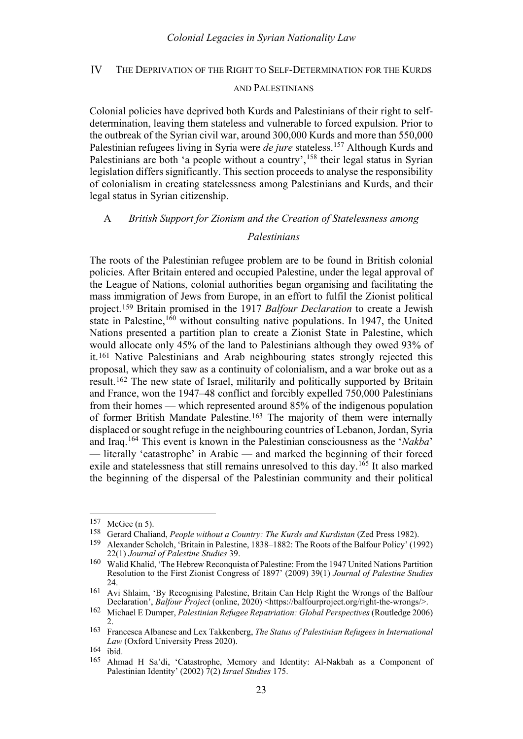#### <span id="page-17-0"></span>IV THE DEPRIVATION OF THE RIGHT TO SELF-DETERMINATION FOR THE KURDS

#### AND PALESTINIANS

Colonial policies have deprived both Kurds and Palestinians of their right to selfdetermination, leaving them stateless and vulnerable to forced expulsion. Prior to the outbreak of the Syrian civil war, around 300,000 Kurds and more than 550,000 Palestinian refugees living in Syria were *de jure* stateless.[157](#page-17-2) Although Kurds and Palestinians are both 'a people without a country',<sup>[158](#page-17-3)</sup> their legal status in Syrian legislation differs significantly. This section proceeds to analyse the responsibility of colonialism in creating statelessness among Palestinians and Kurds, and their legal status in Syrian citizenship.

#### <span id="page-17-1"></span>A *British Support for Zionism and the Creation of Statelessness among*

### <span id="page-17-11"></span>*Palestinians*

<span id="page-17-12"></span>The roots of the Palestinian refugee problem are to be found in British colonial policies. After Britain entered and occupied Palestine, under the legal approval of the League of Nations, colonial authorities began organising and facilitating the mass immigration of Jews from Europe, in an effort to fulfil the Zionist political project.[159](#page-17-4) Britain promised in the 1917 *Balfour Declaration* to create a Jewish state in Palestine,  $160$  without consulting native populations. In 1947, the United Nations presented a partition plan to create a Zionist State in Palestine, which would allocate only 45% of the land to Palestinians although they owed 93% of it.[161](#page-17-6) Native Palestinians and Arab neighbouring states strongly rejected this proposal, which they saw as a continuity of colonialism, and a war broke out as a result.[162](#page-17-7) The new state of Israel, militarily and politically supported by Britain and France, won the 1947–48 conflict and forcibly expelled 750,000 Palestinians from their homes — which represented around 85% of the indigenous population of former British Mandate Palestine.[163](#page-17-8) The majority of them were internally displaced or sought refuge in the neighbouring countries of Lebanon, Jordan, Syria and Iraq.[164](#page-17-9) This event is known in the Palestinian consciousness as the '*Nakba*' — literally 'catastrophe' in Arabic — and marked the beginning of their forced exile and statelessness that still remains unresolved to this day.[165](#page-17-10) It also marked the beginning of the dispersal of the Palestinian community and their political

<span id="page-17-2"></span><sup>157</sup> McGee ([n 5\)](#page-1-12).

<span id="page-17-4"></span><span id="page-17-3"></span><sup>158</sup> Gerard Chaliand, *People without a Country: The Kurds and Kurdistan* (Zed Press 1982).

<sup>159</sup> Alexander Scholch, 'Britain in Palestine, 1838–1882: The Roots of the Balfour Policy' (1992) 22(1) *Journal of Palestine Studies* 39.

<span id="page-17-5"></span><sup>160</sup> Walid Khalid, 'The Hebrew Reconquista of Palestine: From the 1947 United Nations Partition Resolution to the First Zionist Congress of 1897' (2009) 39(1) *Journal of Palestine Studies* 24.

<span id="page-17-6"></span><sup>161</sup> Avi Shlaim, 'By Recognising Palestine, Britain Can Help Right the Wrongs of the Balfour Declaration', *Balfour Project* (online, 2020) <https://balfourproject.org/right-the-wrongs/>.

<span id="page-17-7"></span><sup>162</sup> Michael E Dumper, *Palestinian Refugee Repatriation: Global Perspectives* (Routledge 2006)  $\mathcal{D}$ 

<span id="page-17-8"></span><sup>163</sup> Francesca Albanese and Lex Takkenberg, *The Status of Palestinian Refugees in International Law* (Oxford University Press 2020).

<span id="page-17-10"></span><span id="page-17-9"></span> $\frac{164}{165}$  ibid.

<sup>165</sup> Ahmad H Sa'di, 'Catastrophe, Memory and Identity: Al-Nakbah as a Component of Palestinian Identity' (2002) 7(2) *Israel Studies* 175.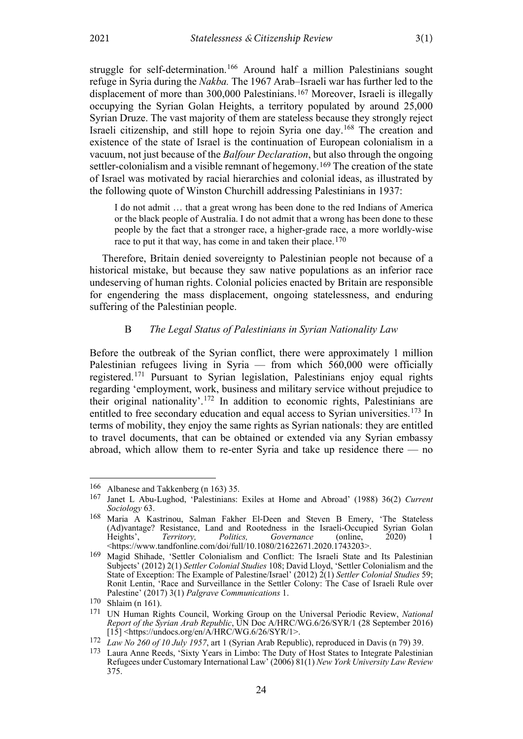struggle for self-determination.<sup>[166](#page-18-1)</sup> Around half a million Palestinians sought refuge in Syria during the *Nakba.* The 1967 Arab–Israeli war has further led to the displacement of more than 300,000 Palestinians.[167](#page-18-2) Moreover, Israeli is illegally occupying the Syrian Golan Heights, a territory populated by around 25,000 Syrian Druze. The vast majority of them are stateless because they strongly reject Israeli citizenship, and still hope to rejoin Syria one day.[168](#page-18-3) The creation and existence of the state of Israel is the continuation of European colonialism in a vacuum, not just because of the *Balfour Declaration*, but also through the ongoing settler-colonialism and a visible remnant of hegemony.[169](#page-18-4) The creation of the state of Israel was motivated by racial hierarchies and colonial ideas, as illustrated by the following quote of Winston Churchill addressing Palestinians in 1937:

I do not admit … that a great wrong has been done to the red Indians of America or the black people of Australia. I do not admit that a wrong has been done to these people by the fact that a stronger race, a higher-grade race, a more worldly-wise race to put it that way, has come in and taken their place.<sup>[170](#page-18-5)</sup>

Therefore, Britain denied sovereignty to Palestinian people not because of a historical mistake, but because they saw native populations as an inferior race undeserving of human rights. Colonial policies enacted by Britain are responsible for engendering the mass displacement, ongoing statelessness, and enduring suffering of the Palestinian people.

### <span id="page-18-9"></span>B *The Legal Status of Palestinians in Syrian Nationality Law*

<span id="page-18-0"></span>Before the outbreak of the Syrian conflict, there were approximately 1 million Palestinian refugees living in Syria — from which 560,000 were officially registered.[171](#page-18-6) Pursuant to Syrian legislation, Palestinians enjoy equal rights regarding 'employment, work, business and military service without prejudice to their original nationality'.<sup>[172](#page-18-7)</sup> In addition to economic rights, Palestinians are entitled to free secondary education and equal access to Syrian universities.<sup>[173](#page-18-8)</sup> In terms of mobility, they enjoy the same rights as Syrian nationals: they are entitled to travel documents, that can be obtained or extended via any Syrian embassy abroad, which allow them to re-enter Syria and take up residence there — no

<span id="page-18-2"></span><span id="page-18-1"></span><sup>166</sup> Albanese and Takkenberg ([n 163\)](#page-17-11) 35.<br>167 Ianat J. Abu Lughod (Belestinians)

<sup>167</sup> Janet L Abu-Lughod, 'Palestinians: Exiles at Home and Abroad' (1988) 36(2) *Current Sociology* 63.

<span id="page-18-3"></span><sup>168</sup> Maria A Kastrinou, Salman Fakher El-Deen and Steven B Emery, 'The Stateless (Ad)vantage? Resistance, Land and Rootedness in the Israeli-Occupied Syrian Golan Heights', *Territory, Politics, Governance* (online, 2020) 1 <https://www.tandfonline.com/doi/full/10.1080/21622671.2020.1743203>.

<span id="page-18-4"></span><sup>169</sup> Magid Shihade, 'Settler Colonialism and Conflict: The Israeli State and Its Palestinian Subjects' (2012) 2(1) *Settler Colonial Studies* 108; David Lloyd, 'Settler Colonialism and the State of Exception: The Example of Palestine/Israel' (2012) 2(1) *Settler Colonial Studies* 59; Ronit Lentin, 'Race and Surveillance in the Settler Colony: The Case of Israeli Rule over Palestine' (2017) 3(1) *Palgrave Communications* 1.

<span id="page-18-5"></span><sup>170</sup> Shlaim ([n 161\)](#page-17-12).

<span id="page-18-6"></span><sup>171</sup> UN Human Rights Council, Working Group on the Universal Periodic Review, *National Report of the Syrian Arab Republic*, UN Doc A/HRC/WG.6/26/SYR/1 (28 September 2016) [15] <https://undocs.org/en/A/HRC/WG.6/26/SYR/1>.

<span id="page-18-7"></span><sup>172</sup> *Law No 260 of 10 July 1957*, art 1 (Syrian Arab Republic), reproduced in Davis (n [79\)](#page-9-9) 39.

<span id="page-18-8"></span><sup>173</sup> Laura Anne Reeds, 'Sixty Years in Limbo: The Duty of Host States to Integrate Palestinian Refugees under Customary International Law' (2006) 81(1) *New York University Law Review* 375.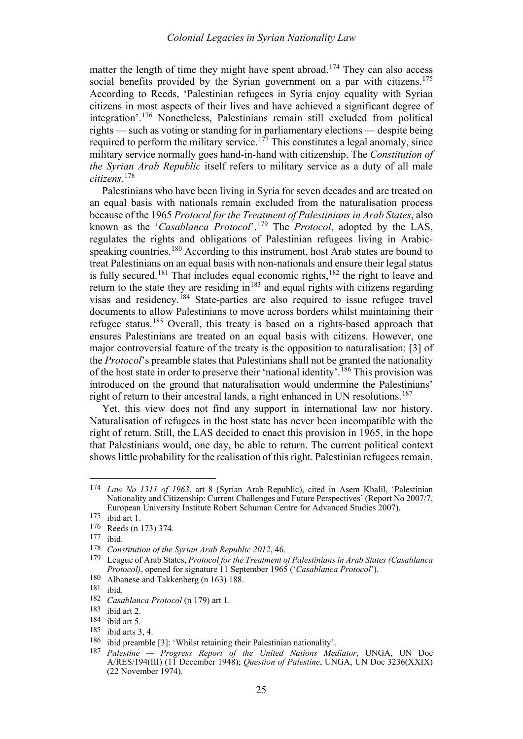matter the length of time they might have spent abroad.<sup>[174](#page-19-1)</sup> They can also access social benefits provided by the Syrian government on a par with citizens.<sup>[175](#page-19-2)</sup> According to Reeds, 'Palestinian refugees in Syria enjoy equality with Syrian citizens in most aspects of their lives and have achieved a significant degree of integration'. [176](#page-19-3) Nonetheless, Palestinians remain still excluded from political rights — such as voting or standing for in parliamentary elections — despite being required to perform the military service.<sup>[177](#page-19-4)</sup> This constitutes a legal anomaly, since military service normally goes hand-in-hand with citizenship. The *Constitution of the Syrian Arab Republic* itself refers to military service as a duty of all male *citizens*. [178](#page-19-5)

<span id="page-19-0"></span>Palestinians who have been living in Syria for seven decades and are treated on an equal basis with nationals remain excluded from the naturalisation process because of the 1965 *Protocol for the Treatment of Palestinians in Arab States*, also known as the '*Casablanca Protocol*'. [179](#page-19-6) The *Protocol*, adopted by the LAS, regulates the rights and obligations of Palestinian refugees living in Arabic-speaking countries.<sup>[180](#page-19-7)</sup> According to this instrument, host Arab states are bound to treat Palestinians on an equal basis with non-nationals and ensure their legal status is fully secured.<sup>[181](#page-19-8)</sup> That includes equal economic rights,<sup>[182](#page-19-9)</sup> the right to leave and return to the state they are residing  $\sin^{183}$  $\sin^{183}$  $\sin^{183}$  and equal rights with citizens regarding visas and residency.<sup>[184](#page-19-11)</sup> State-parties are also required to issue refugee travel documents to allow Palestinians to move across borders whilst maintaining their refugee status.[185](#page-19-12) Overall, this treaty is based on a rights-based approach that ensures Palestinians are treated on an equal basis with citizens. However, one major controversial feature of the treaty is the opposition to naturalisation: [3] of the *Protocol*'s preamble states that Palestinians shall not be granted the nationality of the host state in order to preserve their 'national identity'.<sup>[186](#page-19-13)</sup> This provision was introduced on the ground that naturalisation would undermine the Palestinians' right of return to their ancestral lands, a right enhanced in UN resolutions.<sup>[187](#page-19-14)</sup>

Yet, this view does not find any support in international law nor history. Naturalisation of refugees in the host state has never been incompatible with the right of return. Still, the LAS decided to enact this provision in 1965, in the hope that Palestinians would, one day, be able to return. The current political context shows little probability for the realisation of this right. Palestinian refugees remain,

<span id="page-19-1"></span><sup>174</sup> *Law No 1311 of 1963*, art 8 (Syrian Arab Republic), cited in Asem Khalil, 'Palestinian Nationality and Citizenship: Current Challenges and Future Perspectives' (Report No 2007/7, European University Institute Robert Schuman Centre for Advanced Studies 2007).

<span id="page-19-2"></span> $175$  ibid art 1.

<span id="page-19-3"></span> $\frac{176}{177}$  Reeds ([n 173\)](#page-18-9) 374.

<span id="page-19-4"></span> $\frac{177}{178}$  ibid.

<span id="page-19-5"></span>Constitution of the Syrian Arab Republic 2012, 46.

<span id="page-19-6"></span><sup>179</sup> League of Arab States, *Protocol for the Treatment of Palestinians in Arab States (Casablanca Protocol)*, opened for signature 11 September 1965 ('*Casablanca Protocol*').

<span id="page-19-7"></span><sup>180</sup> Albanese and Takkenberg ([n 163\)](#page-17-11) 188.<br>181 ibid

<span id="page-19-8"></span> $\frac{181}{182}$  ibid.

<span id="page-19-9"></span><sup>182</sup> *Casablanca Protocol* ([n 179\)](#page-19-0) art 1.

<span id="page-19-10"></span> $\frac{183}{184}$  ibid art 2.

<span id="page-19-12"></span><span id="page-19-11"></span> $\frac{184}{185}$  ibid art 5.

 $\frac{185}{186}$  ibid arts 3, 4.

<span id="page-19-14"></span><span id="page-19-13"></span><sup>&</sup>lt;sup>186</sup> ibid preamble [3]: 'Whilst retaining their Palestinian nationality'.

<sup>187</sup> *Palestine — Progress Report of the United Nations Mediator*, UNGA, UN Doc A/RES/194(III) (11 December 1948); *Question of Palestine*, UNGA, UN Doc 3236(XXIX) (22 November 1974).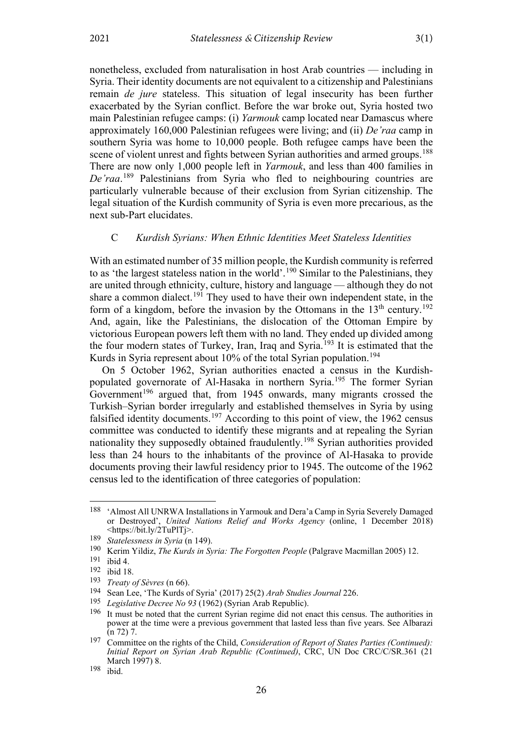nonetheless, excluded from naturalisation in host Arab countries — including in Syria. Their identity documents are not equivalent to a citizenship and Palestinians remain *de jure* stateless. This situation of legal insecurity has been further exacerbated by the Syrian conflict. Before the war broke out, Syria hosted two main Palestinian refugee camps: (i) *Yarmouk* camp located near Damascus where approximately 160,000 Palestinian refugees were living; and (ii) *De'raa* camp in southern Syria was home to 10,000 people. Both refugee camps have been the scene of violent unrest and fights between Syrian authorities and armed groups.<sup>[188](#page-20-1)</sup> There are now only 1,000 people left in *Yarmouk*, and less than 400 families in *De'raa*. [189](#page-20-2) Palestinians from Syria who fled to neighbouring countries are particularly vulnerable because of their exclusion from Syrian citizenship. The legal situation of the Kurdish community of Syria is even more precarious, as the next sub-Part elucidates.

### <span id="page-20-0"></span>C *Kurdish Syrians: When Ethnic Identities Meet Stateless Identities*

With an estimated number of 35 million people, the Kurdish community is referred to as 'the largest stateless nation in the world'.<sup>[190](#page-20-3)</sup> Similar to the Palestinians, they are united through ethnicity, culture, history and language — although they do not share a common dialect.<sup>[191](#page-20-4)</sup> They used to have their own independent state, in the form of a kingdom, before the invasion by the Ottomans in the  $13<sup>th</sup>$  century.<sup>[192](#page-20-5)</sup> And, again, like the Palestinians, the dislocation of the Ottoman Empire by victorious European powers left them with no land. They ended up divided among the four modern states of Turkey, Iran, Iraq and Syria.<sup>[193](#page-20-6)</sup> It is estimated that the Kurds in Syria represent about 10% of the total Syrian population.<sup>[194](#page-20-7)</sup>

On 5 October 1962, Syrian authorities enacted a census in the Kurdish-populated governorate of Al-Hasaka in northern Syria.<sup>[195](#page-20-8)</sup> The former Syrian Government<sup>[196](#page-20-9)</sup> argued that, from 1945 onwards, many migrants crossed the Turkish–Syrian border irregularly and established themselves in Syria by using falsified identity documents.<sup>[197](#page-20-10)</sup> According to this point of view, the 1962 census committee was conducted to identify these migrants and at repealing the Syrian nationality they supposedly obtained fraudulently.[198](#page-20-11) Syrian authorities provided less than 24 hours to the inhabitants of the province of Al-Hasaka to provide documents proving their lawful residency prior to 1945. The outcome of the 1962 census led to the identification of three categories of population:

26

<span id="page-20-1"></span><sup>188</sup> 'Almost All UNRWA Installations in Yarmouk and Dera'a Camp in Syria Severely Damaged or Destroyed', *United Nations Relief and Works Agency* (online, 1 December 2018) <https://bit.ly/2TuPlTj>.

<span id="page-20-2"></span><sup>189</sup> *Statelessness in Syria* (n [149\)](#page-16-9).

<span id="page-20-4"></span><span id="page-20-3"></span><sup>190</sup> Kerim Yildiz, *The Kurds in Syria: The Forgotten People* (Palgrave Macmillan 2005) 12.

ibid 4.

<span id="page-20-5"></span> $\frac{192}{193}$  ibid 18.

<span id="page-20-7"></span><span id="page-20-6"></span><sup>193</sup> *Treaty of Sèvres* (n [66\)](#page-8-13).

<sup>194</sup> Sean Lee, 'The Kurds of Syria' (2017) 25(2) *Arab Studies Journal* 226.

<span id="page-20-8"></span><sup>195</sup> *Legislative Decree No 93* (1962) (Syrian Arab Republic).

<span id="page-20-9"></span><sup>196</sup> It must be noted that the current Syrian regime did not enact this census. The authorities in power at the time were a previous government that lasted less than five years. See Albarazi ([n 72\)](#page-9-10) 7.

<span id="page-20-10"></span><sup>197</sup> Committee on the rights of the Child, *Consideration of Report of States Parties (Continued): Initial Report on Syrian Arab Republic (Continued)*, CRC, UN Doc CRC/C/SR.361 (21 March 1997) 8.

<span id="page-20-11"></span><sup>198</sup> ibid.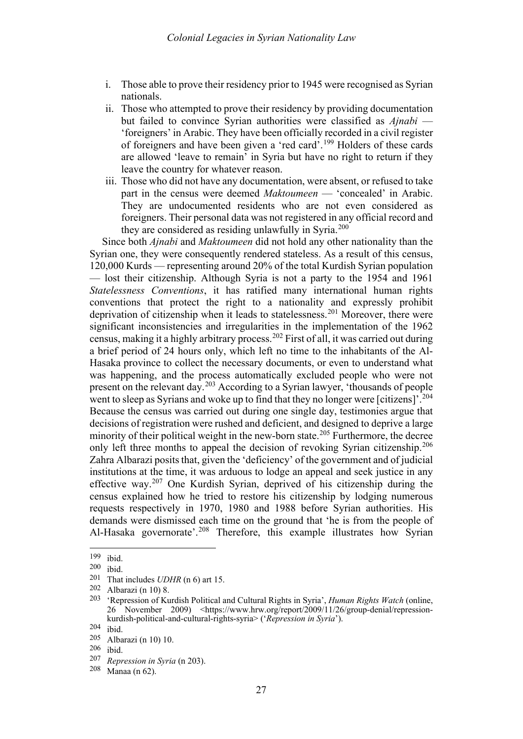- i. Those able to prove their residency prior to 1945 were recognised as Syrian nationals.
- ii. Those who attempted to prove their residency by providing documentation but failed to convince Syrian authorities were classified as *Ajnabi* — 'foreigners' in Arabic. They have been officially recorded in a civil register of foreigners and have been given a 'red card'.[199](#page-21-1) Holders of these cards are allowed 'leave to remain' in Syria but have no right to return if they leave the country for whatever reason.
- iii. Those who did not have any documentation, were absent, or refused to take part in the census were deemed *Maktoumeen* — 'concealed' in Arabic. They are undocumented residents who are not even considered as foreigners. Their personal data was not registered in any official record and they are considered as residing unlawfully in Syria.<sup>[200](#page-21-2)</sup>

<span id="page-21-0"></span>Since both *Ajnabi* and *Maktoumeen* did not hold any other nationality than the Syrian one, they were consequently rendered stateless. As a result of this census, 120,000 Kurds — representing around 20% of the total Kurdish Syrian population — lost their citizenship. Although Syria is not a party to the 1954 and 1961 *Statelessness Conventions*, it has ratified many international human rights conventions that protect the right to a nationality and expressly prohibit deprivation of citizenship when it leads to statelessness.<sup>[201](#page-21-3)</sup> Moreover, there were significant inconsistencies and irregularities in the implementation of the 1962 census, making it a highly arbitrary process.[202](#page-21-4) First of all, it was carried out during a brief period of 24 hours only, which left no time to the inhabitants of the Al-Hasaka province to collect the necessary documents, or even to understand what was happening, and the process automatically excluded people who were not present on the relevant day.[203](#page-21-5) According to a Syrian lawyer, 'thousands of people went to sleep as Syrians and woke up to find that they no longer were [citizens]<sup>'. [204](#page-21-6)</sup> Because the census was carried out during one single day, testimonies argue that decisions of registration were rushed and deficient, and designed to deprive a large minority of their political weight in the new-born state.<sup>[205](#page-21-7)</sup> Furthermore, the decree only left three months to appeal the decision of revoking Syrian citizenship.<sup>[206](#page-21-8)</sup> Zahra Albarazi posits that, given the 'deficiency' of the government and of judicial institutions at the time, it was arduous to lodge an appeal and seek justice in any effective way.<sup>[207](#page-21-9)</sup> One Kurdish Syrian, deprived of his citizenship during the census explained how he tried to restore his citizenship by lodging numerous requests respectively in 1970, 1980 and 1988 before Syrian authorities. His demands were dismissed each time on the ground that 'he is from the people of Al-Hasaka governorate<sup>'.[208](#page-21-10)</sup> Therefore, this example illustrates how Syrian

<sup>199</sup> ibid.

<span id="page-21-3"></span><span id="page-21-2"></span><span id="page-21-1"></span> $\begin{array}{c} 200 \\ 201 \end{array}$  ibid.

That includes *UDHR* ([n 6\)](#page-1-9) art 15.

<span id="page-21-4"></span><sup>202</sup> Albarazi ([n 10\)](#page-2-8) 8.

<span id="page-21-5"></span><sup>203</sup> 'Repression of Kurdish Political and Cultural Rights in Syria', *Human Rights Watch* (online, 26 November 2009) <https://www.hrw.org/report/2009/11/26/group-denial/repressionkurdish-political-and-cultural-rights-syria> ('*Repression in Syria*').

<span id="page-21-6"></span> $\frac{204}{205}$  ibid.

Albarazi ([n 10\)](#page-2-8) 10.

<span id="page-21-8"></span><span id="page-21-7"></span> $\frac{206}{207}$  ibid.

<span id="page-21-10"></span><span id="page-21-9"></span><sup>207</sup> *Repression in Syria* ([n 203\)](#page-21-0).

Manaa (n  $62$ ).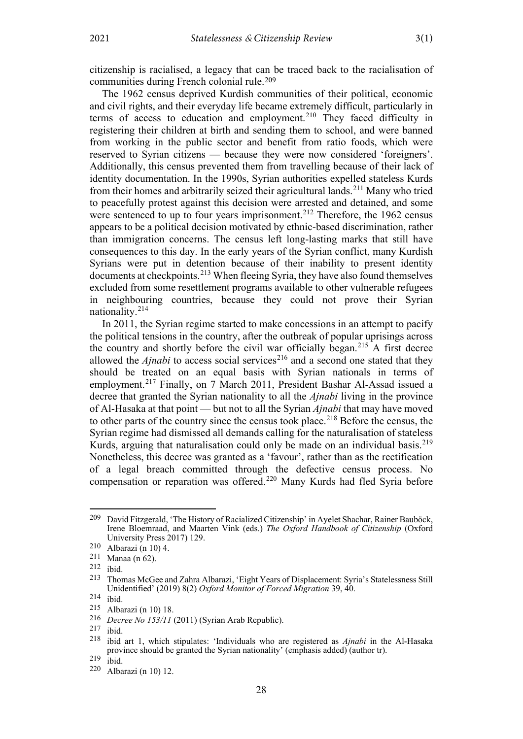citizenship is racialised, a legacy that can be traced back to the racialisation of communities during French colonial rule.[209](#page-22-0)

The 1962 census deprived Kurdish communities of their political, economic and civil rights, and their everyday life became extremely difficult, particularly in terms of access to education and employment.<sup>[210](#page-22-1)</sup> They faced difficulty in registering their children at birth and sending them to school, and were banned from working in the public sector and benefit from ratio foods, which were reserved to Syrian citizens — because they were now considered 'foreigners'. Additionally, this census prevented them from travelling because of their lack of identity documentation. In the 1990s, Syrian authorities expelled stateless Kurds from their homes and arbitrarily seized their agricultural lands.<sup>[211](#page-22-2)</sup> Many who tried to peacefully protest against this decision were arrested and detained, and some were sentenced to up to four years imprisonment.<sup>[212](#page-22-3)</sup> Therefore, the 1962 census appears to be a political decision motivated by ethnic-based discrimination, rather than immigration concerns. The census left long-lasting marks that still have consequences to this day. In the early years of the Syrian conflict, many Kurdish Syrians were put in detention because of their inability to present identity documents at checkpoints.<sup>[213](#page-22-4)</sup> When fleeing Syria, they have also found themselves excluded from some resettlement programs available to other vulnerable refugees in neighbouring countries, because they could not prove their Syrian nationality.[214](#page-22-5)

<span id="page-22-12"></span>In 2011, the Syrian regime started to make concessions in an attempt to pacify the political tensions in the country, after the outbreak of popular uprisings across the country and shortly before the civil war officially began.<sup>[215](#page-22-6)</sup> A first decree allowed the  $A$ *jnabi* to access social services<sup>[216](#page-22-7)</sup> and a second one stated that they should be treated on an equal basis with Syrian nationals in terms of employment.[217](#page-22-8) Finally, on 7 March 2011, President Bashar Al-Assad issued a decree that granted the Syrian nationality to all the *Ajnabi* living in the province of Al-Hasaka at that point — but not to all the Syrian *Ajnabi* that may have moved to other parts of the country since the census took place.<sup>[218](#page-22-9)</sup> Before the census, the Syrian regime had dismissed all demands calling for the naturalisation of stateless Kurds, arguing that naturalisation could only be made on an individual basis.<sup>[219](#page-22-10)</sup> Nonetheless, this decree was granted as a 'favour', rather than as the rectification of a legal breach committed through the defective census process. No compensation or reparation was offered.<sup>[220](#page-22-11)</sup> Many Kurds had fled Syria before

<span id="page-22-0"></span><sup>209</sup> David Fitzgerald, 'The History of Racialized Citizenship' in Ayelet Shachar, Rainer Bauböck, Irene Bloemraad, and Maarten Vink (eds.) *The Oxford Handbook of Citizenship* (Oxford University Press 2017) 129.

<span id="page-22-1"></span><sup>210</sup> Albarazi ([n 10\)](#page-2-8) 4.

<span id="page-22-2"></span> $^{211}$  Manaa (n [62\)](#page-8-14).<br>212 ibid

<span id="page-22-4"></span><span id="page-22-3"></span> $\frac{212}{213}$  ibid.

<sup>213</sup> Thomas McGee and Zahra Albarazi, 'Eight Years of Displacement: Syria's Statelessness Still Unidentified' (2019) 8(2) *Oxford Monitor of Forced Migration* 39, 40.

<span id="page-22-6"></span><span id="page-22-5"></span><sup>214</sup> ibid.

<sup>215</sup> Albarazi ([n 10\)](#page-2-8) 18.

<span id="page-22-7"></span><sup>216</sup> *Decree No 153/11* (2011) (Syrian Arab Republic).

<span id="page-22-8"></span> $217$  ibid.

<span id="page-22-9"></span><sup>218</sup> ibid art 1, which stipulates: 'Individuals who are registered as *Ajnabi* in the Al-Hasaka province should be granted the Syrian nationality' (emphasis added) (author tr).

<span id="page-22-10"></span> $219$  ibid.

<span id="page-22-11"></span><sup>220</sup> Albarazi ([n 10\)](#page-2-8) 12.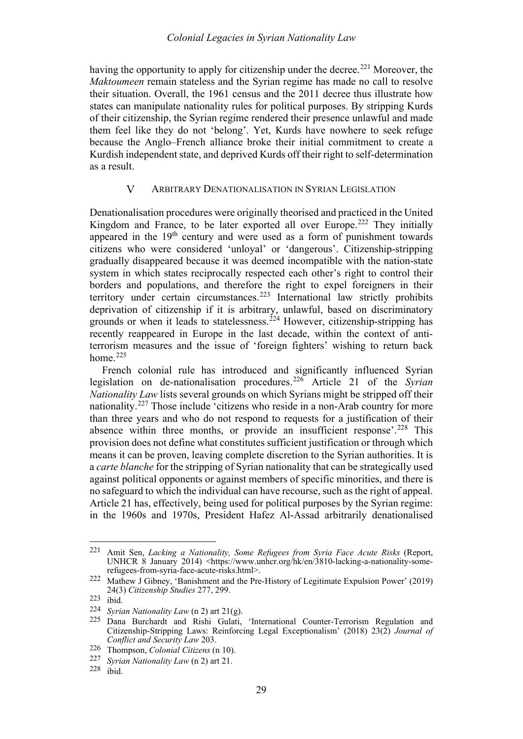having the opportunity to apply for citizenship under the decree.<sup>[221](#page-23-1)</sup> Moreover, the *Maktoumeen* remain stateless and the Syrian regime has made no call to resolve their situation. Overall, the 1961 census and the 2011 decree thus illustrate how states can manipulate nationality rules for political purposes. By stripping Kurds of their citizenship, the Syrian regime rendered their presence unlawful and made them feel like they do not 'belong'. Yet, Kurds have nowhere to seek refuge because the Anglo–French alliance broke their initial commitment to create a Kurdish independent state, and deprived Kurds off their right to self-determination as a result.

#### $\overline{V}$ ARBITRARY DENATIONALISATION IN SYRIAN LEGISLATION

<span id="page-23-0"></span>Denationalisation procedures were originally theorised and practiced in the United Kingdom and France, to be later exported all over Europe.<sup>[222](#page-23-2)</sup> They initially appeared in the 19<sup>th</sup> century and were used as a form of punishment towards citizens who were considered 'unloyal' or 'dangerous'. Citizenship-stripping gradually disappeared because it was deemed incompatible with the nation-state system in which states reciprocally respected each other's right to control their borders and populations, and therefore the right to expel foreigners in their territory under certain circumstances.<sup>[223](#page-23-3)</sup> International law strictly prohibits deprivation of citizenship if it is arbitrary, unlawful, based on discriminatory grounds or when it leads to statelessness.<sup>[224](#page-23-4)</sup> However, citizenship-stripping has recently reappeared in Europe in the last decade, within the context of antiterrorism measures and the issue of 'foreign fighters' wishing to return back home. $225$ 

French colonial rule has introduced and significantly influenced Syrian legislation on de-nationalisation procedures.[226](#page-23-6) Article 21 of the *Syrian Nationality Law* lists several grounds on which Syrians might be stripped off their nationality.[227](#page-23-7) Those include 'citizens who reside in a non-Arab country for more than three years and who do not respond to requests for a justification of their absence within three months, or provide an insufficient response'.<sup>[228](#page-23-8)</sup> This provision does not define what constitutes sufficient justification or through which means it can be proven, leaving complete discretion to the Syrian authorities. It is a *carte blanche* for the stripping of Syrian nationality that can be strategically used against political opponents or against members of specific minorities, and there is no safeguard to which the individual can have recourse, such as the right of appeal. Article 21 has, effectively, being used for political purposes by the Syrian regime: in the 1960s and 1970s, President Hafez Al-Assad arbitrarily denationalised

<span id="page-23-1"></span><sup>221</sup> Amit Sen, *Lacking a Nationality, Some Refugees from Syria Face Acute Risks* (Report, UNHCR 8 January 2014) <https://www.unhcr.org/hk/en/3810-lacking-a-nationality-somerefugees-from-syria-face-acute-risks.html>.

<span id="page-23-2"></span><sup>222</sup> Mathew J Gibney, 'Banishment and the Pre-History of Legitimate Expulsion Power' (2019) 24(3) *Citizenship Studies* 277, 299.

<span id="page-23-3"></span><sup>223</sup> ibid.

<span id="page-23-4"></span><sup>224</sup> *Syrian Nationality Law* ([n 2\)](#page-1-10) art 21(g).

<span id="page-23-5"></span><sup>225</sup> Dana Burchardt and Rishi Gulati, 'International Counter-Terrorism Regulation and Citizenship-Stripping Laws: Reinforcing Legal Exceptionalism' (2018) 23(2) *Journal of Conflict and Security Law* 203.

<span id="page-23-6"></span><sup>226</sup> Thompson, *Colonial Citizens* ([n 10\)](#page-2-8).

<span id="page-23-7"></span><sup>227</sup> *Syrian Nationality Law* ([n 2\)](#page-1-10) art 21.

<span id="page-23-8"></span><sup>228</sup> ibid.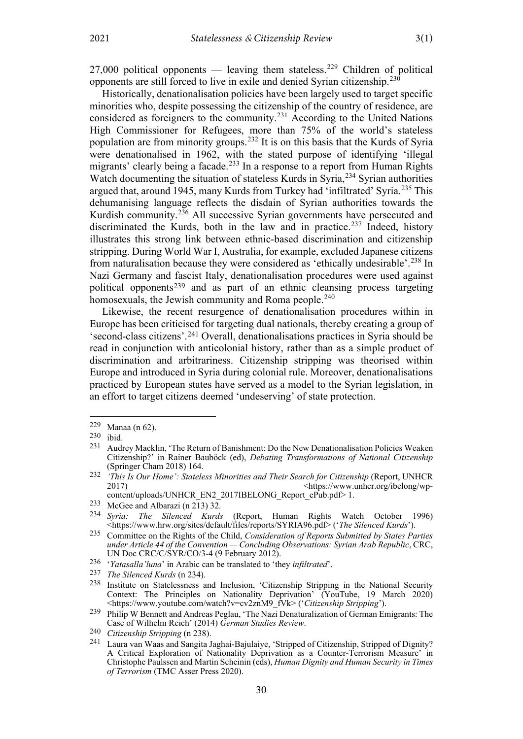27,000 political opponents — leaving them stateless.<sup>[229](#page-24-2)</sup> Children of political opponents are still forced to live in exile and denied Syrian citizenship.[230](#page-24-3)

<span id="page-24-0"></span>Historically, denationalisation policies have been largely used to target specific minorities who, despite possessing the citizenship of the country of residence, are considered as foreigners to the community.<sup>[231](#page-24-4)</sup> According to the United Nations High Commissioner for Refugees, more than 75% of the world's stateless population are from minority groups.[232](#page-24-5) It is on this basis that the Kurds of Syria were denationalised in 1962, with the stated purpose of identifying 'illegal migrants' clearly being a facade.<sup>[233](#page-24-6)</sup> In a response to a report from Human Rights Watch documenting the situation of stateless Kurds in Syria,<sup>[234](#page-24-7)</sup> Syrian authorities argued that, around 1945, many Kurds from Turkey had 'infiltrated' Syria.[235](#page-24-8) This dehumanising language reflects the disdain of Syrian authorities towards the Kurdish community. $236$  All successive Syrian governments have persecuted and discriminated the Kurds, both in the law and in practice.<sup>[237](#page-24-10)</sup> Indeed, history illustrates this strong link between ethnic-based discrimination and citizenship stripping. During World War I, Australia, for example, excluded Japanese citizens from naturalisation because they were considered as 'ethically undesirable'.<sup>[238](#page-24-11)</sup> In Nazi Germany and fascist Italy, denationalisation procedures were used against political opponents[239](#page-24-12) and as part of an ethnic cleansing process targeting homosexuals, the Jewish community and Roma people.<sup>[240](#page-24-13)</sup>

<span id="page-24-1"></span>Likewise, the recent resurgence of denationalisation procedures within in Europe has been criticised for targeting dual nationals, thereby creating a group of 'second-class citizens'.[241](#page-24-14) Overall, denationalisations practices in Syria should be read in conjunction with anticolonial history, rather than as a simple product of discrimination and arbitrariness. Citizenship stripping was theorised within Europe and introduced in Syria during colonial rule. Moreover, denationalisations practiced by European states have served as a model to the Syrian legislation, in an effort to target citizens deemed 'undeserving' of state protection.

<span id="page-24-2"></span><sup>229</sup> Manaa (n [62\)](#page-8-14).

<span id="page-24-3"></span> $\begin{bmatrix} 230 \\ 231 \\ 4 \end{bmatrix}$  ibid.

<span id="page-24-4"></span><sup>231</sup> Audrey Macklin, 'The Return of Banishment: Do the New Denationalisation Policies Weaken Citizenship?' in Rainer Bauböck (ed), *Debating Transformations of National Citizenship* (Springer Cham 2018) 164.

<span id="page-24-5"></span><sup>&</sup>lt;sup>232</sup> *<sup>'</sup>This Is Our Home': Stateless Minorities and Their Search for Citizenship (Report, UNHCR*<br>2017)<br>shttps://www.unhcr.org/ibelong/wp-2017) <https://www.unhcr.org/ibelong/wpcontent/uploads/UNHCR\_EN2\_2017IBELONG\_Report\_ePub.pdf> 1.

<span id="page-24-7"></span><span id="page-24-6"></span><sup>233</sup> McGee and Albarazi ([n 213\)](#page-22-12) 32.<br>234 Syria: The Silenced Kurds

<sup>234</sup> *Syria: The Silenced Kurds* (Report, Human Rights Watch October 1996) <https://www.hrw.org/sites/default/files/reports/SYRIA96.pdf> ('*The Silenced Kurds*').

<span id="page-24-8"></span><sup>235</sup> Committee on the Rights of the Child, *Consideration of Reports Submitted by States Parties under Article 44 of the Convention — Concluding Observations: Syrian Arab Republic*, CRC, UN Doc CRC/C/SYR/CO/3-4 (9 February 2012).

<span id="page-24-9"></span><sup>236</sup> '*Yatasalla'luna*' in Arabic can be translated to 'they *infiltrated*'.

<span id="page-24-10"></span><sup>237</sup> *The Silenced Kurds* ([n 234\)](#page-24-0).

<span id="page-24-11"></span><sup>238</sup> Institute on Statelessness and Inclusion, 'Citizenship Stripping in the National Security Context: The Principles on Nationality Deprivation' (YouTube, 19 March 2020) <https://www.youtube.com/watch?v=cv2znM9\_fVk> ('*Citizenship Stripping*').

<span id="page-24-12"></span><sup>239</sup> Philip W Bennett and Andreas Peglau, 'The Nazi Denaturalization of German Emigrants: The Case of Wilhelm Reich' (2014) *German Studies Review*.

<span id="page-24-14"></span><span id="page-24-13"></span><sup>240</sup> *Citizenship Stripping* (n [238\)](#page-24-1).

Laura van Waas and Sangita Jaghai-Bajulaiye, 'Stripped of Citizenship, Stripped of Dignity? A Critical Exploration of Nationality Deprivation as a Counter-Terrorism Measure' in Christophe Paulssen and Martin Scheinin (eds), *Human Dignity and Human Security in Times of Terrorism* (TMC Asser Press 2020).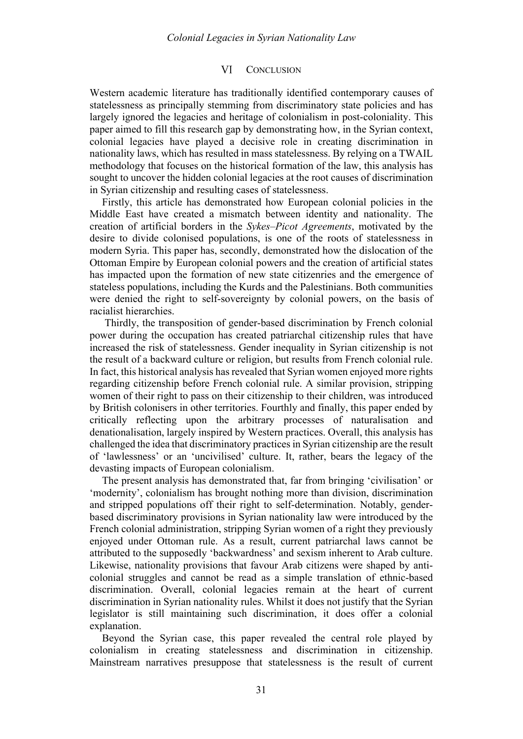#### VI **CONCLUSION**

<span id="page-25-0"></span>Western academic literature has traditionally identified contemporary causes of statelessness as principally stemming from discriminatory state policies and has largely ignored the legacies and heritage of colonialism in post-coloniality. This paper aimed to fill this research gap by demonstrating how, in the Syrian context, colonial legacies have played a decisive role in creating discrimination in nationality laws, which has resulted in mass statelessness. By relying on a TWAIL methodology that focuses on the historical formation of the law, this analysis has sought to uncover the hidden colonial legacies at the root causes of discrimination in Syrian citizenship and resulting cases of statelessness.

Firstly, this article has demonstrated how European colonial policies in the Middle East have created a mismatch between identity and nationality. The creation of artificial borders in the *Sykes–Picot Agreements*, motivated by the desire to divide colonised populations, is one of the roots of statelessness in modern Syria. This paper has, secondly, demonstrated how the dislocation of the Ottoman Empire by European colonial powers and the creation of artificial states has impacted upon the formation of new state citizenries and the emergence of stateless populations, including the Kurds and the Palestinians. Both communities were denied the right to self-sovereignty by colonial powers, on the basis of racialist hierarchies.

Thirdly, the transposition of gender-based discrimination by French colonial power during the occupation has created patriarchal citizenship rules that have increased the risk of statelessness. Gender inequality in Syrian citizenship is not the result of a backward culture or religion, but results from French colonial rule. In fact, this historical analysis has revealed that Syrian women enjoyed more rights regarding citizenship before French colonial rule. A similar provision, stripping women of their right to pass on their citizenship to their children, was introduced by British colonisers in other territories. Fourthly and finally, this paper ended by critically reflecting upon the arbitrary processes of naturalisation and denationalisation, largely inspired by Western practices. Overall, this analysis has challenged the idea that discriminatory practices in Syrian citizenship are the result of 'lawlessness' or an 'uncivilised' culture. It, rather, bears the legacy of the devasting impacts of European colonialism.

The present analysis has demonstrated that, far from bringing 'civilisation' or 'modernity', colonialism has brought nothing more than division, discrimination and stripped populations off their right to self-determination. Notably, genderbased discriminatory provisions in Syrian nationality law were introduced by the French colonial administration, stripping Syrian women of a right they previously enjoyed under Ottoman rule. As a result, current patriarchal laws cannot be attributed to the supposedly 'backwardness' and sexism inherent to Arab culture. Likewise, nationality provisions that favour Arab citizens were shaped by anticolonial struggles and cannot be read as a simple translation of ethnic-based discrimination. Overall, colonial legacies remain at the heart of current discrimination in Syrian nationality rules. Whilst it does not justify that the Syrian legislator is still maintaining such discrimination, it does offer a colonial explanation.

Beyond the Syrian case, this paper revealed the central role played by colonialism in creating statelessness and discrimination in citizenship. Mainstream narratives presuppose that statelessness is the result of current